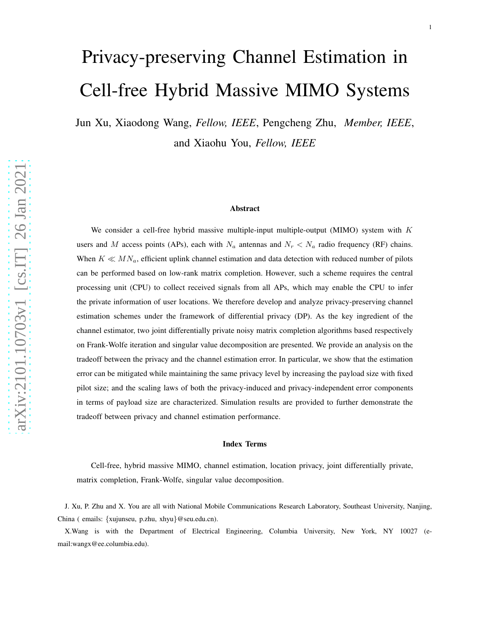# Privacy-preserving Channel Estimation in Cell-free Hybrid Massive MIMO Systems

Jun Xu, Xiaodong Wang, *Fellow, IEEE*, Pengcheng Zhu, *Member, IEEE*, and Xiaohu You, *Fellow, IEEE*

#### Abstract

We consider a cell-free hybrid massive multiple-input multiple-output (MIMO) system with  $K$ users and M access points (APs), each with  $N_a$  antennas and  $N_r < N_a$  radio frequency (RF) chains. When  $K \ll MN_a$ , efficient uplink channel estimation and data detection with reduced number of pilots can be performed based on low-rank matrix completion. However, such a scheme requires the central processing unit (CPU) to collect received signals from all APs, which may enable the CPU to infer the private information of user locations. We therefore develop and analyze privacy-preserving channel estimation schemes under the framework of differential privacy (DP). As the key ingredient of the channel estimator, two joint differentially private noisy matrix completion algorithms based respectively on Frank-Wolfe iteration and singular value decomposition are presented. We provide an analysis on the tradeoff between the privacy and the channel estimation error. In particular, we show that the estimation error can be mitigated while maintaining the same privacy level by increasing the payload size with fixed pilot size; and the scaling laws of both the privacy-induced and privacy-independent error components in terms of payload size are characterized. Simulation results are provided to further demonstrate the tradeoff between privacy and channel estimation performance.

#### Index Terms

Cell-free, hybrid massive MIMO, channel estimation, location privacy, joint differentially private, matrix completion, Frank-Wolfe, singular value decomposition.

J. Xu, P. Zhu and X. You are all with National Mobile Communications Research Laboratory, Southeast University, Nanjing, China ( emails: {xujunseu, p.zhu, xhyu}@seu.edu.cn).

X.Wang is with the Department of Electrical Engineering, Columbia University, New York, NY 10027 (email:wangx@ee.columbia.edu).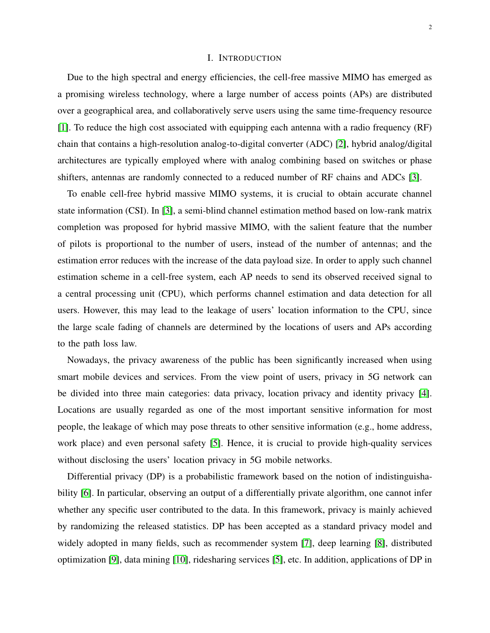## I. INTRODUCTION

Due to the high spectral and energy efficiencies, the cell-free massive MIMO has emerged as a promising wireless technology, where a large number of access points (APs) are distributed over a geographical area, and collaboratively serve users using the same time-frequency resource [\[1\]](#page-28-0). To reduce the high cost associated with equipping each antenna with a radio frequency (RF) chain that contains a high-resolution analog-to-digital converter (ADC) [\[2\]](#page-28-1), hybrid analog/digital architectures are typically employed where with analog combining based on switches or phase shifters, antennas are randomly connected to a reduced number of RF chains and ADCs [\[3\]](#page-28-2).

To enable cell-free hybrid massive MIMO systems, it is crucial to obtain accurate channel state information (CSI). In [\[3\]](#page-28-2), a semi-blind channel estimation method based on low-rank matrix completion was proposed for hybrid massive MIMO, with the salient feature that the number of pilots is proportional to the number of users, instead of the number of antennas; and the estimation error reduces with the increase of the data payload size. In order to apply such channel estimation scheme in a cell-free system, each AP needs to send its observed received signal to a central processing unit (CPU), which performs channel estimation and data detection for all users. However, this may lead to the leakage of users' location information to the CPU, since the large scale fading of channels are determined by the locations of users and APs according to the path loss law.

Nowadays, the privacy awareness of the public has been significantly increased when using smart mobile devices and services. From the view point of users, privacy in 5G network can be divided into three main categories: data privacy, location privacy and identity privacy [\[4\]](#page-28-3). Locations are usually regarded as one of the most important sensitive information for most people, the leakage of which may pose threats to other sensitive information (e.g., home address, work place) and even personal safety [\[5\]](#page-28-4). Hence, it is crucial to provide high-quality services without disclosing the users' location privacy in 5G mobile networks.

Differential privacy (DP) is a probabilistic framework based on the notion of indistinguishability [\[6\]](#page-28-5). In particular, observing an output of a differentially private algorithm, one cannot infer whether any specific user contributed to the data. In this framework, privacy is mainly achieved by randomizing the released statistics. DP has been accepted as a standard privacy model and widely adopted in many fields, such as recommender system [\[7\]](#page-28-6), deep learning [\[8\]](#page-28-7), distributed optimization [\[9\]](#page-28-8), data mining [\[10\]](#page-28-9), ridesharing services [\[5\]](#page-28-4), etc. In addition, applications of DP in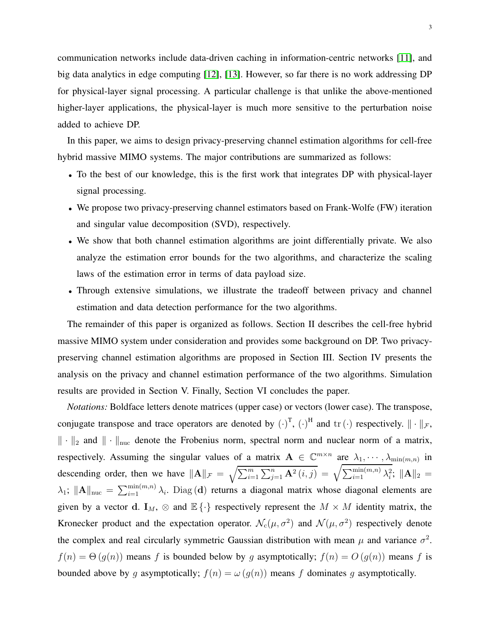communication networks include data-driven caching in information-centric networks [\[11\]](#page-28-10), and big data analytics in edge computing [\[12\]](#page-29-0), [\[13\]](#page-29-1). However, so far there is no work addressing DP for physical-layer signal processing. A particular challenge is that unlike the above-mentioned higher-layer applications, the physical-layer is much more sensitive to the perturbation noise added to achieve DP.

In this paper, we aims to design privacy-preserving channel estimation algorithms for cell-free hybrid massive MIMO systems. The major contributions are summarized as follows:

- To the best of our knowledge, this is the first work that integrates DP with physical-layer signal processing.
- We propose two privacy-preserving channel estimators based on Frank-Wolfe (FW) iteration and singular value decomposition (SVD), respectively.
- We show that both channel estimation algorithms are joint differentially private. We also analyze the estimation error bounds for the two algorithms, and characterize the scaling laws of the estimation error in terms of data payload size.
- Through extensive simulations, we illustrate the tradeoff between privacy and channel estimation and data detection performance for the two algorithms.

The remainder of this paper is organized as follows. Section II describes the cell-free hybrid massive MIMO system under consideration and provides some background on DP. Two privacypreserving channel estimation algorithms are proposed in Section III. Section IV presents the analysis on the privacy and channel estimation performance of the two algorithms. Simulation results are provided in Section V. Finally, Section VI concludes the paper.

*Notations:* Boldface letters denote matrices (upper case) or vectors (lower case). The transpose, conjugate transpose and trace operators are denoted by  $(\cdot)^T$ ,  $(\cdot)^H$  and  $\text{tr}(\cdot)$  respectively.  $\|\cdot\|_{\mathcal{F}}$ ,  $\|\cdot\|_2$  and  $\|\cdot\|_{\text{nuc}}$  denote the Frobenius norm, spectral norm and nuclear norm of a matrix, respectively. Assuming the singular values of a matrix  $A \in \mathbb{C}^{m \times n}$  are  $\lambda_1, \dots, \lambda_{\min(m,n)}$  in descending order, then we have  $\|\mathbf{A}\|_{\mathcal{F}} = \sqrt{\sum_{i=1}^{m} \sum_{j=1}^{n} \mathbf{A}^2(i,j)} = \sqrt{\sum_{i=1}^{\min(m,n)} \lambda_i^2}$ ;  $\|\mathbf{A}\|_2 =$  $\lambda_1$ ;  $\|\mathbf{A}\|_{\text{nuc}} = \sum_{i=1}^{\min(m,n)} \lambda_i$ . Diag (d) returns a diagonal matrix whose diagonal elements are given by a vector d. I<sub>M</sub>,  $\otimes$  and  $\mathbb{E}\{\cdot\}$  respectively represent the  $M \times M$  identity matrix, the Kronecker product and the expectation operator.  $\mathcal{N}_c(\mu, \sigma^2)$  and  $\mathcal{N}(\mu, \sigma^2)$  respectively denote the complex and real circularly symmetric Gaussian distribution with mean  $\mu$  and variance  $\sigma^2$ .  $f(n) = \Theta(g(n))$  means f is bounded below by g asymptotically;  $f(n) = O(g(n))$  means f is bounded above by g asymptotically;  $f(n) = \omega(g(n))$  means f dominates g asymptotically.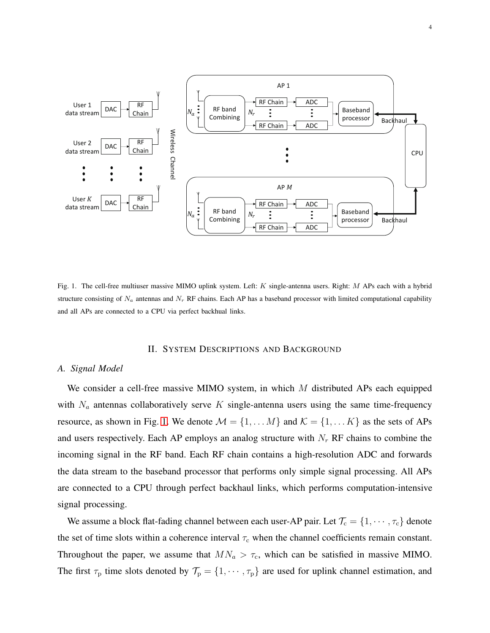

<span id="page-3-0"></span>Fig. 1. The cell-free multiuser massive MIMO uplink system. Left: K single-antenna users. Right: M APs each with a hybrid structure consisting of  $N_a$  antennas and  $N_r$  RF chains. Each AP has a baseband processor with limited computational capability and all APs are connected to a CPU via perfect backhual links.

## II. SYSTEM DESCRIPTIONS AND BACKGROUND

## *A. Signal Model*

We consider a cell-free massive MIMO system, in which  $M$  distributed APs each equipped with  $N_a$  antennas collaboratively serve K single-antenna users using the same time-frequency resource, as shown in Fig. [1.](#page-3-0) We denote  $\mathcal{M} = \{1, \dots M\}$  and  $\mathcal{K} = \{1, \dots K\}$  as the sets of APs and users respectively. Each AP employs an analog structure with  $N_r$  RF chains to combine the incoming signal in the RF band. Each RF chain contains a high-resolution ADC and forwards the data stream to the baseband processor that performs only simple signal processing. All APs are connected to a CPU through perfect backhaul links, which performs computation-intensive signal processing.

We assume a block flat-fading channel between each user-AP pair. Let  $\mathcal{T}_{c} = \{1, \cdots, \tau_{c}\}$  denote the set of time slots within a coherence interval  $\tau_c$  when the channel coefficients remain constant. Throughout the paper, we assume that  $MN_a > \tau_c$ , which can be satisfied in massive MIMO. The first  $\tau_p$  time slots denoted by  $\mathcal{T}_p = \{1, \dots, \tau_p\}$  are used for uplink channel estimation, and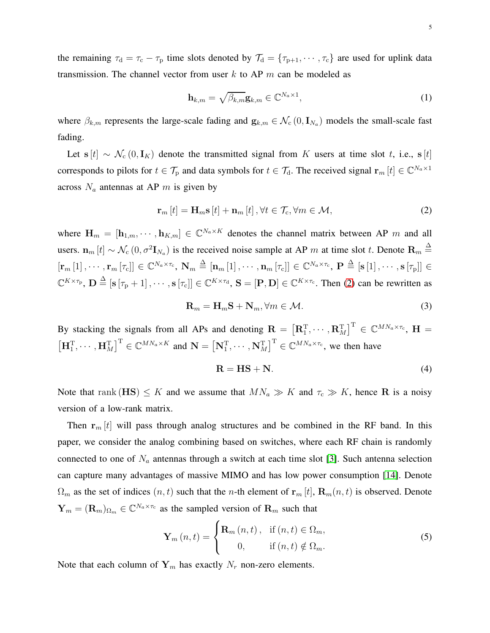the remaining  $\tau_d = \tau_c - \tau_p$  time slots denoted by  $\mathcal{T}_d = {\tau_{p+1}, \cdots, \tau_c}$  are used for uplink data transmission. The channel vector from user  $k$  to AP  $m$  can be modeled as

<span id="page-4-1"></span>
$$
\mathbf{h}_{k,m} = \sqrt{\beta_{k,m}} \mathbf{g}_{k,m} \in \mathbb{C}^{N_a \times 1},\tag{1}
$$

where  $\beta_{k,m}$  represents the large-scale fading and  $g_{k,m} \in \mathcal{N}_c(0, I_{N_a})$  models the small-scale fast fading.

Let s [t] ~  $\mathcal{N}_c(0, I_K)$  denote the transmitted signal from K users at time slot t, i.e., s [t] corresponds to pilots for  $t \in \mathcal{T}_{p}$  and data symbols for  $t \in \mathcal{T}_{d}$ . The received signal  $\mathbf{r}_{m}[t] \in \mathbb{C}^{N_{a} \times 1}$ across  $N_a$  antennas at AP m is given by

<span id="page-4-0"></span>
$$
\mathbf{r}_{m}\left[t\right] = \mathbf{H}_{m}\mathbf{s}\left[t\right] + \mathbf{n}_{m}\left[t\right], \forall t \in \mathcal{T}_{c}, \forall m \in \mathcal{M},\tag{2}
$$

where  $\mathbf{H}_m = [\mathbf{h}_{1,m}, \cdots, \mathbf{h}_{K,m}] \in \mathbb{C}^{N_a \times K}$  denotes the channel matrix between AP m and all users.  $\mathbf{n}_m[t] \sim \mathcal{N}_c(0, \sigma^2 \mathbf{I}_{N_a})$  is the received noise sample at AP m at time slot t. Denote  $\mathbf{R}_m \triangleq$  $\left[\mathbf{r}_m\left[1\right], \cdots, \mathbf{r}_m\left[\tau_{\text{c}}\right]\right] \in \mathbb{C}^{N_a \times \tau_{\text{c}}}, \ \mathbf{N}_m \triangleq \left[\mathbf{n}_m\left[1\right], \cdots, \mathbf{n}_m\left[\tau_{\text{c}}\right]\right] \in \mathbb{C}^{N_a \times \tau_{\text{c}}}, \ \mathbf{P} \triangleq \left[\mathbf{s}\left[1\right], \cdots, \mathbf{s}\left[\tau_{\text{p}}\right]\right] \in$  $\mathbb{C}^{K \times \tau_{\text{p}}}, \mathbf{D} \stackrel{\Delta}{=} [\mathbf{s} [\tau_{\text{p}} + 1], \cdots, \mathbf{s} [\tau_{\text{c}}]] \in \mathbb{C}^{K \times \tau_{\text{d}}}, \mathbf{S} = [\mathbf{P}, \mathbf{D}] \in \mathbb{C}^{K \times \tau_{\text{c}}}$ . Then [\(2\)](#page-4-0) can be rewritten as

 $\mathbf{R}_m = \mathbf{H}_m \mathbf{S} + \mathbf{N}_m, \forall m \in \mathcal{M}.$  (3)

By stacking the signals from all APs and denoting  $\mathbf{R} = \left[\mathbf{R}_1^{\mathrm{T}}, \cdots, \mathbf{R}_M^{\mathrm{T}}\right]^{\mathrm{T}} \in \mathbb{C}^{MN_a \times \tau_c}$ ,  $\mathbf{H} =$  $\left[\mathbf{H}_{1}^{\mathrm{T}}, \cdots, \mathbf{H}_{M}^{\mathrm{T}}\right]^{\mathrm{T}} \in \mathbb{C}^{MN_{a} \times K}$  and  $\mathbf{N} = \left[\mathbf{N}_{1}^{\mathrm{T}}, \cdots, \mathbf{N}_{M}^{\mathrm{T}}\right]^{\mathrm{T}} \in \mathbb{C}^{MN_{a} \times \tau_{c}}$ , we then have

<span id="page-4-2"></span>
$$
R = HS + N. \tag{4}
$$

Note that rank  $(HS) \leq K$  and we assume that  $MN_a \gg K$  and  $\tau_c \gg K$ , hence R is a noisy version of a low-rank matrix.

Then  $r_m[t]$  will pass through analog structures and be combined in the RF band. In this paper, we consider the analog combining based on switches, where each RF chain is randomly connected to one of  $N_a$  antennas through a switch at each time slot [\[3\]](#page-28-2). Such antenna selection can capture many advantages of massive MIMO and has low power consumption [\[14\]](#page-29-2). Denote  $\Omega_m$  as the set of indices  $(n, t)$  such that the *n*-th element of  $\mathbf{r}_m[t]$ ,  $\mathbf{R}_m(n, t)$  is observed. Denote  $\mathbf{Y}_m = (\mathbf{R}_m)_{\Omega_m} \in \mathbb{C}^{N_a \times \tau_c}$  as the sampled version of  $\mathbf{R}_m$  such that

<span id="page-4-3"></span>
$$
\mathbf{Y}_{m}(n,t) = \begin{cases} \mathbf{R}_{m}(n,t), & \text{if } (n,t) \in \Omega_{m}, \\ 0, & \text{if } (n,t) \notin \Omega_{m}. \end{cases}
$$
 (5)

Note that each column of  $Y_m$  has exactly  $N_r$  non-zero elements.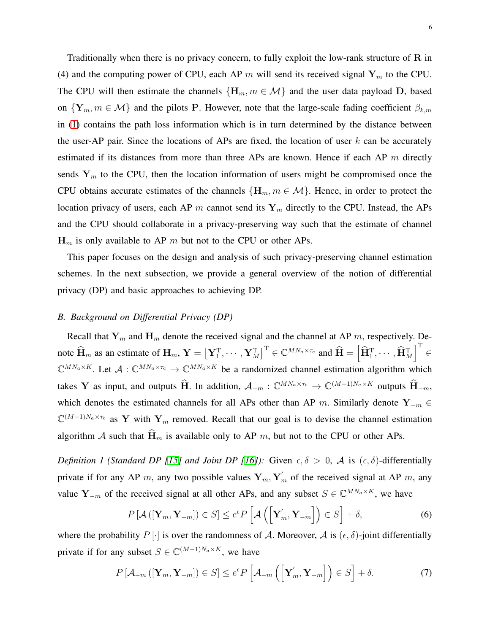Traditionally when there is no privacy concern, to fully exploit the low-rank structure of  $R$  in (4) and the computing power of CPU, each AP m will send its received signal  $Y_m$  to the CPU. The CPU will then estimate the channels  $\{H_m, m \in \mathcal{M}\}\$  and the user data payload D, based on  $\{Y_m, m \in \mathcal{M}\}\$ and the pilots P. However, note that the large-scale fading coefficient  $\beta_{k,m}$ in [\(1\)](#page-4-1) contains the path loss information which is in turn determined by the distance between the user-AP pair. Since the locations of APs are fixed, the location of user  $k$  can be accurately estimated if its distances from more than three APs are known. Hence if each AP  $m$  directly sends  $Y_m$  to the CPU, then the location information of users might be compromised once the CPU obtains accurate estimates of the channels  $\{H_m, m \in \mathcal{M}\}\)$ . Hence, in order to protect the location privacy of users, each AP m cannot send its  $Y_m$  directly to the CPU. Instead, the APs and the CPU should collaborate in a privacy-preserving way such that the estimate of channel  $H_m$  is only available to AP m but not to the CPU or other APs.

This paper focuses on the design and analysis of such privacy-preserving channel estimation schemes. In the next subsection, we provide a general overview of the notion of differential privacy (DP) and basic approaches to achieving DP.

## *B. Background on Differential Privacy (DP)*

Recall that  $Y_m$  and  $H_m$  denote the received signal and the channel at AP m, respectively. Denote  $\widehat{\mathbf{H}}_m$  as an estimate of  $\mathbf{H}_m$ ,  $\mathbf{Y} = \left[\mathbf{Y}_1^{\mathrm{T}}, \cdots, \mathbf{Y}_M^{\mathrm{T}}\right]^{\mathrm{T}} \in \mathbb{C}^{MN_a \times \tau_c}$  and  $\widehat{\mathbf{H}} = \left[\widehat{\mathbf{H}}_1^{\mathrm{T}}, \cdots, \widehat{\mathbf{H}}_M^{\mathrm{T}}\right]$  $\mathbb{I}^{\mathrm{T}}$ ∈  $\mathbb{C}^{MN_a \times K}$ . Let  $\mathcal{A}: \mathbb{C}^{MN_a \times \tau_c} \to \mathbb{C}^{MN_a \times K}$  be a randomized channel estimation algorithm which takes Y as input, and outputs  $\hat{H}$ . In addition,  $A_{-m}: \mathbb{C}^{MN_a \times \tau_c} \to \mathbb{C}^{(M-1)N_a \times K}$  outputs  $\hat{H}_{-m}$ , which denotes the estimated channels for all APs other than AP m. Similarly denote  $Y_{-m}$  ∈  $\mathbb{C}^{(M-1)N_a \times \tau_c}$  as Y with Y<sub>m</sub> removed. Recall that our goal is to devise the channel estimation algorithm A such that  $\widehat{H}_m$  is available only to AP m, but not to the CPU or other APs.

*Definition 1 (Standard DP [\[15\]](#page-29-3) and Joint DP [\[16\]](#page-29-4)):* Given  $\epsilon, \delta > 0$ , A is  $(\epsilon, \delta)$ -differentially private if for any AP m, any two possible values  $Y_m, Y'_m$  of the received signal at AP m, any value Y<sub>-m</sub> of the received signal at all other APs, and any subset  $S \in \mathbb{C}^{MN_a \times K}$ , we have

$$
P\left[\mathcal{A}\left(\left[\mathbf{Y}_{m},\mathbf{Y}_{-m}\right]\right)\in S\right]\le e^{\epsilon}P\left[\mathcal{A}\left(\left[\mathbf{Y}_{m}',\mathbf{Y}_{-m}\right]\right)\in S\right]+\delta,\tag{6}
$$

where the probability  $P[\cdot]$  is over the randomness of A. Moreover, A is  $(\epsilon, \delta)$ -joint differentially private if for any subset  $S \in \mathbb{C}^{(M-1)N_a \times K}$ , we have

$$
P\left[\mathcal{A}_{-m}\left(\left[\mathbf{Y}_{m},\mathbf{Y}_{-m}\right]\right)\in S\right]\le e^{\epsilon}P\left[\mathcal{A}_{-m}\left(\left[\mathbf{Y}'_{m},\mathbf{Y}_{-m}\right]\right)\in S\right]+\delta.
$$
\n(7)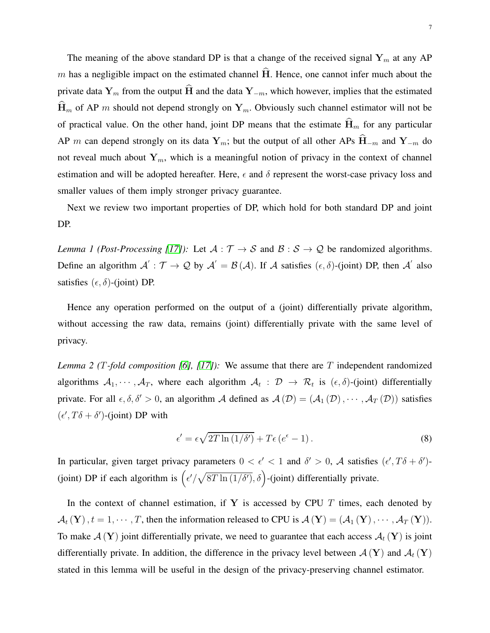The meaning of the above standard DP is that a change of the received signal  $Y_m$  at any AP m has a negligible impact on the estimated channel  $\hat{H}$ . Hence, one cannot infer much about the private data  $Y_m$  from the output  $\widehat{H}$  and the data  $Y_{-m}$ , which however, implies that the estimated  $\widehat{H}_m$  of AP m should not depend strongly on  $Y_m$ . Obviously such channel estimator will not be of practical value. On the other hand, joint DP means that the estimate  $\widehat{H}_m$  for any particular AP m can depend strongly on its data  $Y_m$ ; but the output of all other APs  $\hat{H}_{-m}$  and  $Y_{-m}$  do not reveal much about  $Y_m$ , which is a meaningful notion of privacy in the context of channel estimation and will be adopted hereafter. Here,  $\epsilon$  and  $\delta$  represent the worst-case privacy loss and smaller values of them imply stronger privacy guarantee.

<span id="page-6-1"></span>Next we review two important properties of DP, which hold for both standard DP and joint DP.

*Lemma 1 (Post-Processing [\[17\]](#page-29-5)):* Let  $A : \mathcal{T} \to S$  and  $B : S \to \mathcal{Q}$  be randomized algorithms. Define an algorithm  $\mathcal{A}': \mathcal{T} \to \mathcal{Q}$  by  $\mathcal{A}' = \mathcal{B}(\mathcal{A})$ . If  $\mathcal{A}$  satisfies  $(\epsilon, \delta)$ -(joint) DP, then  $\mathcal{A}'$  also satisfies  $(\epsilon, \delta)$ -(joint) DP.

<span id="page-6-0"></span>Hence any operation performed on the output of a (joint) differentially private algorithm, without accessing the raw data, remains (joint) differentially private with the same level of privacy.

*Lemma 2 (*T*-fold composition [\[6\]](#page-28-5), [\[17\]](#page-29-5)):* We assume that there are T independent randomized algorithms  $A_1, \dots, A_T$ , where each algorithm  $A_t$ :  $D \to R_t$  is  $(\epsilon, \delta)$ -(joint) differentially private. For all  $\epsilon, \delta, \delta' > 0$ , an algorithm A defined as  $\mathcal{A}(\mathcal{D}) = (\mathcal{A}_1(\mathcal{D}), \cdots, \mathcal{A}_T(\mathcal{D}))$  satisfies  $(\epsilon', T\delta + \delta')$ -(joint) DP with

$$
\epsilon' = \epsilon \sqrt{2T \ln(1/\delta')} + T\epsilon (e^{\epsilon} - 1).
$$
 (8)

In particular, given target privacy parameters  $0 < \epsilon' < 1$  and  $\delta' > 0$ , A satisfies  $(\epsilon', T\delta + \delta')$ -(joint) DP if each algorithm is  $\left(\frac{\epsilon'}{\sqrt{8T \ln(1/\delta')}} , \delta\right)$ -(joint) differentially private.

In the context of channel estimation, if Y is accessed by CPU  $T$  times, each denoted by  $\mathcal{A}_t(\mathbf{Y}), t = 1, \cdots, T$ , then the information released to CPU is  $\mathcal{A}(\mathbf{Y}) = (\mathcal{A}_1(\mathbf{Y}), \cdots, \mathcal{A}_T(\mathbf{Y})).$ To make  $\mathcal{A}(\mathbf{Y})$  joint differentially private, we need to guarantee that each access  $\mathcal{A}_t(\mathbf{Y})$  is joint differentially private. In addition, the difference in the privacy level between  $\mathcal{A}(\mathbf{Y})$  and  $\mathcal{A}_t(\mathbf{Y})$ stated in this lemma will be useful in the design of the privacy-preserving channel estimator.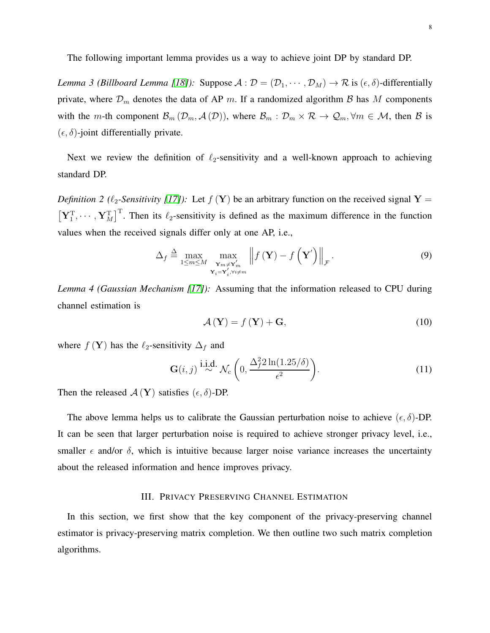The following important lemma provides us a way to achieve joint DP by standard DP.

*Lemma 3 (Billboard Lemma [\[18\]](#page-29-6)):* Suppose  $A : \mathcal{D} = (\mathcal{D}_1, \cdots, \mathcal{D}_M) \to \mathcal{R}$  is  $(\epsilon, \delta)$ -differentially private, where  $\mathcal{D}_m$  denotes the data of AP m. If a randomized algorithm  $\beta$  has M components with the m-th component  $\mathcal{B}_m$  ( $\mathcal{D}_m$ ,  $\mathcal{A}(\mathcal{D})$ ), where  $\mathcal{B}_m$  :  $\mathcal{D}_m \times \mathcal{R} \to \mathcal{Q}_m$ ,  $\forall m \in \mathcal{M}$ , then  $\mathcal{B}$  is  $(\epsilon, \delta)$ -joint differentially private.

Next we review the definition of  $\ell_2$ -sensitivity and a well-known approach to achieving standard DP.

*Definition 2 (* $\ell_2$ *-Sensitivity [\[17\]](#page-29-5)):* Let  $f(Y)$  be an arbitrary function on the received signal Y =  $\left[\mathbf{Y}_1^{\mathrm{T}},\cdots,\mathbf{Y}_M^{\mathrm{T}}\right]^{\mathrm{T}}$ . Then its  $\ell_2$ -sensitivity is defined as the maximum difference in the function values when the received signals differ only at one AP, i.e.,

$$
\Delta_f \triangleq \max_{1 \le m \le M} \max_{\substack{\mathbf{Y}_m \neq \mathbf{Y}_m' \\ \mathbf{Y}_i = \mathbf{Y}_i', \forall i \ne m}} \left\| f\left(\mathbf{Y}\right) - f\left(\mathbf{Y}'\right) \right\|_{\mathcal{F}}.
$$
\n(9)

<span id="page-7-0"></span>*Lemma 4 (Gaussian Mechanism [\[17\]](#page-29-5)):* Assuming that the information released to CPU during channel estimation is

$$
\mathcal{A}\left(\mathbf{Y}\right) = f\left(\mathbf{Y}\right) + \mathbf{G},\tag{10}
$$

where  $f(Y)$  has the  $\ell_2$ -sensitivity  $\Delta_f$  and

$$
\mathbf{G}(i,j) \stackrel{\mathbf{i.i.d.}}{\sim} \mathcal{N}_c \left( 0, \frac{\Delta_f^2 2 \ln(1.25/\delta)}{\epsilon^2} \right). \tag{11}
$$

Then the released  $\mathcal{A}(\mathbf{Y})$  satisfies  $(\epsilon, \delta)$ -DP.

The above lemma helps us to calibrate the Gaussian perturbation noise to achieve  $(\epsilon, \delta)$ -DP. It can be seen that larger perturbation noise is required to achieve stronger privacy level, i.e., smaller  $\epsilon$  and/or  $\delta$ , which is intuitive because larger noise variance increases the uncertainty about the released information and hence improves privacy.

## III. PRIVACY PRESERVING CHANNEL ESTIMATION

In this section, we first show that the key component of the privacy-preserving channel estimator is privacy-preserving matrix completion. We then outline two such matrix completion algorithms.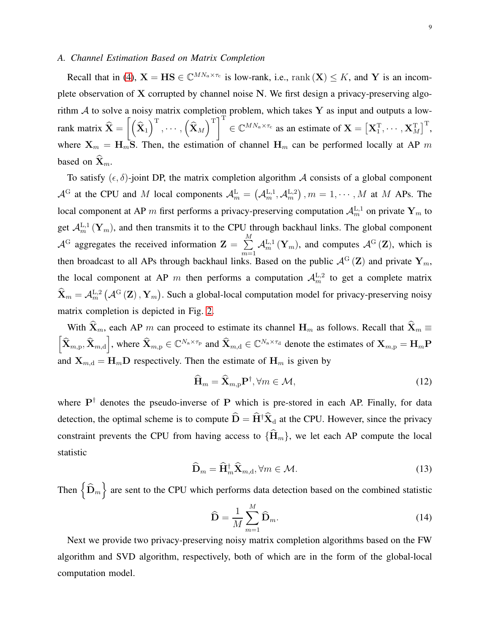## *A. Channel Estimation Based on Matrix Completion*

Recall that in [\(4\)](#page-4-2),  $X = HS \in \mathbb{C}^{MN_a \times \tau_c}$  is low-rank, i.e., rank  $(X) \leq K$ , and Y is an incomplete observation of X corrupted by channel noise N. We first design a privacy-preserving algorithm  $A$  to solve a noisy matrix completion problem, which takes Y as input and outputs a lowrank matrix  $X =$  $\lceil$  $\big( \widehat{\mathbf{X}}_1 \big)^{\rm T}, \cdots, \big( \widehat{\mathbf{X}}_M \big)^{\rm T} \Big]^{\rm T}$  $\in \mathbb{C}^{MN_a \times \tau_c}$  as an estimate of  $\mathbf{X} = \left[ \mathbf{X}_1^{\mathrm{T}}, \cdots, \mathbf{X}_M^{\mathrm{T}} \right]^{\mathrm{T}}$ , where  $X_m = H_m S$ . Then, the estimation of channel  $H_m$  can be performed locally at AP m based on  $\mathbf{X}_m$ .

To satisfy  $(\epsilon, \delta)$ -joint DP, the matrix completion algorithm A consists of a global component  $\mathcal{A}^G$  at the CPU and M local components  $\mathcal{A}^L_m = (\mathcal{A}^{L,1}_m, \mathcal{A}^{L,2}_m)$ ,  $m = 1, \cdots, M$  at M APs. The local component at AP m first performs a privacy-preserving computation  $\mathcal{A}_m^{L,1}$  on private  $\mathbf{Y}_m$  to get  $\mathcal{A}_{m}^{L,1}(Y_m)$ , and then transmits it to the CPU through backhaul links. The global component  $\mathcal{A}^{\mathrm{G}}$  aggregates the received information  $\mathbf{Z} = \sum_{n=1}^{M}$  $\sum_{m=1} \mathcal{A}_m^{\mathrm{L},1} (\mathbf{Y}_m)$ , and computes  $\mathcal{A}^{\mathrm{G}} (\mathbf{Z})$ , which is then broadcast to all APs through backhaul links. Based on the public  $\mathcal{A}^G(Z)$  and private  $Y_m$ , the local component at AP m then performs a computation  $A_m^{\text{L},2}$  to get a complete matrix  $\hat{\mathbf{X}}_m = A_m^{\text{L},2} (\mathcal{A}^{\text{G}}(\mathbf{Z}), \mathbf{Y}_m)$ . Such a global-local computation model for privacy-preserving noisy matrix completion is depicted in Fig. [2.](#page-9-0)

With  $\hat{\mathbf{X}}_m$ , each AP m can proceed to estimate its channel  $\mathbf{H}_m$  as follows. Recall that  $\hat{\mathbf{X}}_m \equiv$  $\left[\widehat{\mathbf{X}}_{m,p}, \widehat{\mathbf{X}}_{m,d}\right]$ , where  $\widehat{\mathbf{X}}_{m,p} \in \mathbb{C}^{N_a \times \tau_p}$  and  $\widehat{\mathbf{X}}_{m,d} \in \mathbb{C}^{N_a \times \tau_d}$  denote the estimates of  $\mathbf{X}_{m,p} = \mathbf{H}_m \mathbf{P}$ and  $X_{m,d} = H_m D$  respectively. Then the estimate of  $H_m$  is given by

<span id="page-8-0"></span>
$$
\widehat{\mathbf{H}}_m = \widehat{\mathbf{X}}_{m,p} \mathbf{P}^\dagger, \forall m \in \mathcal{M},\tag{12}
$$

where  $P^{\dagger}$  denotes the pseudo-inverse of P which is pre-stored in each AP. Finally, for data detection, the optimal scheme is to compute  $\hat{D} = \hat{H}^{\dagger} \hat{X}_d$  at the CPU. However, since the privacy constraint prevents the CPU from having access to  $\{\widehat{H}_m\}$ , we let each AP compute the local statistic

$$
\widehat{\mathbf{D}}_m = \widehat{\mathbf{H}}_m^{\dagger} \widehat{\mathbf{X}}_{m,d}, \forall m \in \mathcal{M}.
$$
\n(13)

Then  $\left\{\widehat{\mathbf{D}}_m\right\}$  are sent to the CPU which performs data detection based on the combined statistic

<span id="page-8-1"></span>
$$
\widehat{\mathbf{D}} = \frac{1}{M} \sum_{m=1}^{M} \widehat{\mathbf{D}}_m.
$$
\n(14)

Next we provide two privacy-preserving noisy matrix completion algorithms based on the FW algorithm and SVD algorithm, respectively, both of which are in the form of the global-local computation model.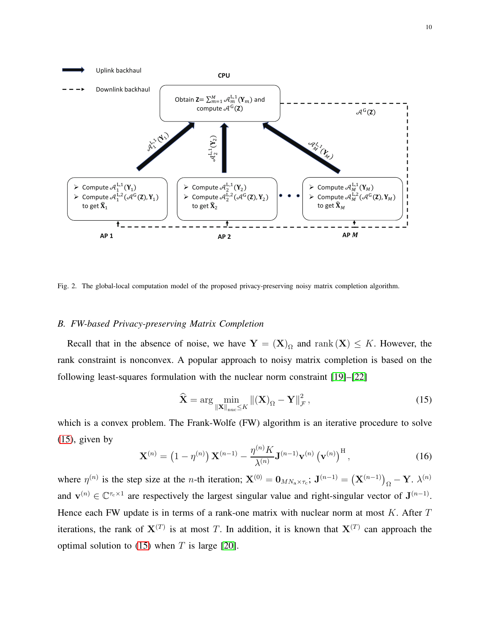

<span id="page-9-0"></span>Fig. 2. The global-local computation model of the proposed privacy-preserving noisy matrix completion algorithm.

## *B. FW-based Privacy-preserving Matrix Completion*

Recall that in the absence of noise, we have  $Y = (X)_{\Omega}$  and rank  $(X) \leq K$ . However, the rank constraint is nonconvex. A popular approach to noisy matrix completion is based on the following least-squares formulation with the nuclear norm constraint [\[19\]](#page-29-7)–[\[22\]](#page-29-8)

<span id="page-9-1"></span>
$$
\widehat{\mathbf{X}} = \arg\min_{\|\mathbf{X}\|_{\text{nuc}} \leq K} \|(\mathbf{X})_{\Omega} - \mathbf{Y}\|_{\mathcal{F}}^2,
$$
\n(15)

which is a convex problem. The Frank-Wolfe (FW) algorithm is an iterative procedure to solve  $(15)$ , given by

<span id="page-9-2"></span>
$$
\mathbf{X}^{(n)} = \left(1 - \eta^{(n)}\right) \mathbf{X}^{(n-1)} - \frac{\eta^{(n)} K}{\lambda^{(n)}} \mathbf{J}^{(n-1)} \mathbf{v}^{(n)} \left(\mathbf{v}^{(n)}\right)^{\mathrm{H}},\tag{16}
$$

where  $\eta^{(n)}$  is the step size at the *n*-th iteration;  $\mathbf{X}^{(0)} = \mathbf{0}_{MN_a \times \tau_c}$ ;  $\mathbf{J}^{(n-1)} = (\mathbf{X}^{(n-1)})_{\Omega} - \mathbf{Y}$ .  $\lambda^{(n)}$ and  $\mathbf{v}^{(n)} \in \mathbb{C}^{\tau_c \times 1}$  are respectively the largest singular value and right-singular vector of  $\mathbf{J}^{(n-1)}$ . Hence each FW update is in terms of a rank-one matrix with nuclear norm at most  $K$ . After  $T$ iterations, the rank of  $X^{(T)}$  is at most T. In addition, it is known that  $X^{(T)}$  can approach the optimal solution to  $(15)$  when T is large [\[20\]](#page-29-9).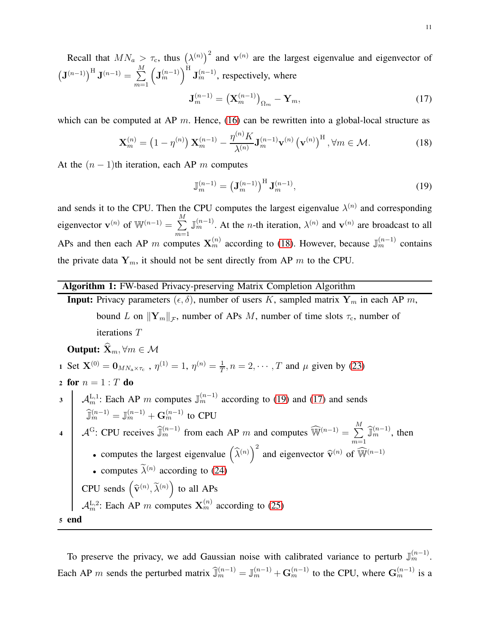Recall that  $MN_a > \tau_c$ , thus  $(\lambda^{(n)})^2$  and  $\mathbf{v}^{(n)}$  are the largest eigenvalue and eigenvector of  $\left({\bf J}^{(n-1)}\right)^{\rm H} {\bf J}^{(n-1)} = \sum^{M}$  $m=1$  $\left(\mathbf{J}_{m}^{(n-1)}\right)^{\mathrm{H}}\mathbf{J}_{m}^{(n-1)}$ , respectively, where  $\mathbf{J}_m^{(n-1)} = (\mathbf{X}_m^{(n-1)})_{\Omega_m} - \mathbf{Y}_m,$ (17)

which can be computed at AP  $m$ . Hence, [\(16\)](#page-9-2) can be rewritten into a global-local structure as

<span id="page-10-2"></span><span id="page-10-0"></span>
$$
\mathbf{X}_{m}^{(n)} = \left(1 - \eta^{(n)}\right) \mathbf{X}_{m}^{(n-1)} - \frac{\eta^{(n)} K}{\lambda^{(n)}} \mathbf{J}_{m}^{(n-1)} \mathbf{v}^{(n)} \left(\mathbf{v}^{(n)}\right)^{\mathrm{H}}, \forall m \in \mathcal{M}.
$$
 (18)

At the  $(n - 1)$ th iteration, each AP m computes

<span id="page-10-1"></span>
$$
\mathbb{J}_m^{(n-1)} = \left(\mathbf{J}_m^{(n-1)}\right)^{\mathrm{H}} \mathbf{J}_m^{(n-1)},\tag{19}
$$

and sends it to the CPU. Then the CPU computes the largest eigenvalue  $\lambda^{(n)}$  and corresponding eigenvector  $\mathbf{v}^{(n)}$  of  $\mathbb{W}^{(n-1)} = \sum_{n=1}^{M}$  $m=1$  $\mathbb{J}_m^{(n-1)}$ . At the *n*-th iteration,  $\lambda^{(n)}$  and  $\mathbf{v}^{(n)}$  are broadcast to all APs and then each AP m computes  $X_m^{(n)}$  according to [\(18\)](#page-10-0). However, because  $\mathbb{J}_m^{(n-1)}$  contains the private data  $Y_m$ , it should not be sent directly from AP m to the CPU.

# Algorithm 1: FW-based Privacy-preserving Matrix Completion Algorithm

**Input:** Privacy parameters  $(\epsilon, \delta)$ , number of users K, sampled matrix  $Y_m$  in each AP m, bound L on  $||\mathbf{Y}_m||_{\mathcal{F}}$ , number of APs M, number of time slots  $\tau_c$ , number of iterations T

**Output:** 
$$
X_m
$$
, ∀*m* ∈ *M* \n1 Set  $X^{(0)} = 0_{MN_a \times \tau_c}$ ,  $\eta^{(1)} = 1$ ,  $\eta^{(n)} = \frac{1}{T}$ ,  $n = 2, \dots, T$  and  $\mu$  given by (23) \n2 for  $n = 1$  : *T* do \n3  $\left| \begin{array}{c} \mathcal{A}_{m}^{L,1}$ : Each AP *m* computes  $\mathbb{J}_{m}^{(n-1)}$  according to (19) and (17) and sends  $\widehat{\mathbb{J}}_{m}^{(n-1)} = \mathbb{J}_{m}^{(n-1)} + \mathbf{G}_{m}^{(n-1)}$  to CPU \n4  $\mathbb{J}_{m}^{(2)} = \mathbb{J}_{m}^{(n-1)}$  from each AP *m* and computes  $\widehat{\mathbb{W}}^{(n-1)} = \sum_{m=1}^{M} \widehat{\mathbb{J}}_{m}^{(n-1)}$ , then \n• computes the largest eigenvalue  $\left(\widehat{\lambda}^{(n)}\right)^2$  and eigenvector  $\widehat{\mathbf{v}}^{(n)}$  of  $\widehat{\mathbb{W}}^{(n-1)}$  \n• computes  $\widetilde{\lambda}^{(n)}$  according to (24) \nCPU sends  $\left(\widehat{\mathbf{v}}^{(n)}, \widetilde{\lambda}^{(n)}\right)$  to all APs \n $\mathcal{A}_{m}^{L,2}$ : Each AP *m* computes  $\mathbf{X}_{m}^{(n)}$  according to (25) \n**s** end

To preserve the privacy, we add Gaussian noise with calibrated variance to perturb  $\mathbb{J}_m^{(n-1)}$ . Each AP m sends the perturbed matrix  $\hat{\mathbb{J}}_m^{(n-1)} = \mathbb{J}_m^{(n-1)} + \mathbf{G}_m^{(n-1)}$  to the CPU, where  $\mathbf{G}_m^{(n-1)}$  is a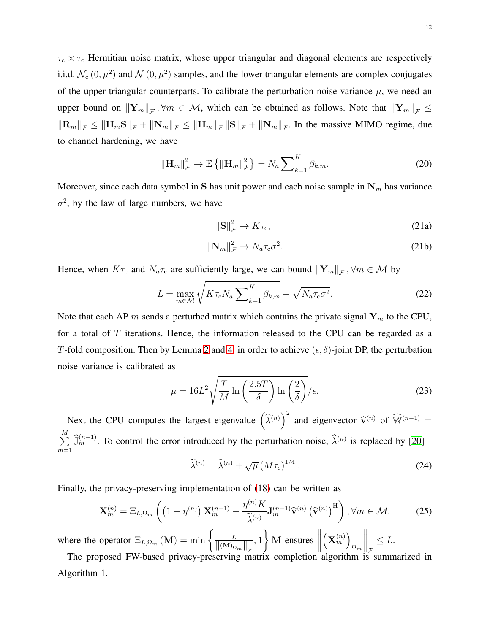$\tau_c \times \tau_c$  Hermitian noise matrix, whose upper triangular and diagonal elements are respectively i.i.d.  $\mathcal{N}_{c}(0, \mu^2)$  and  $\mathcal{N}(0, \mu^2)$  samples, and the lower triangular elements are complex conjugates of the upper triangular counterparts. To calibrate the perturbation noise variance  $\mu$ , we need an upper bound on  $\|\mathbf{Y}_m\|_{\mathcal{F}}, \forall m \in \mathcal{M}$ , which can be obtained as follows. Note that  $\|\mathbf{Y}_m\|_{\mathcal{F}} \leq$  $\left\|\mathbf{R}_{m}\right\|_{\mathcal{F}} \leq \left\|\mathbf{H}_{m}\mathbf{S}\right\|_{\mathcal{F}} + \left\|\mathbf{N}_{m}\right\|_{\mathcal{F}} \leq \left\|\mathbf{H}_{m}\right\|_{\mathcal{F}} + \left\|\mathbf{N}_{m}\right\|_{\mathcal{F}}$ . In the massive MIMO regime, due to channel hardening, we have

<span id="page-11-4"></span>
$$
\|\mathbf{H}_m\|_{\mathcal{F}}^2 \to \mathbb{E}\left\{\|\mathbf{H}_m\|_{\mathcal{F}}^2\right\} = N_a \sum\nolimits_{k=1}^K \beta_{k,m}.\tag{20}
$$

Moreover, since each data symbol in S has unit power and each noise sample in  $N_m$  has variance  $\sigma^2$ , by the law of large numbers, we have

<span id="page-11-5"></span>
$$
\|\mathbf{S}\|_{\mathcal{F}}^2 \to K\tau_c,\tag{21a}
$$

$$
\|\mathbf{N}_m\|_{\mathcal{F}}^2 \to N_a \tau_c \sigma^2. \tag{21b}
$$

Hence, when  $K\tau_c$  and  $N_a\tau_c$  are sufficiently large, we can bound  $\|\mathbf{Y}_m\|_{\mathcal{F}}, \forall m \in \mathcal{M}$  by

<span id="page-11-3"></span>
$$
L = \max_{m \in \mathcal{M}} \sqrt{K \tau_{\rm c} N_a \sum_{k=1}^K \beta_{k,m}} + \sqrt{N_a \tau_{\rm c} \sigma^2}.
$$
 (22)

Note that each AP m sends a perturbed matrix which contains the private signal  $Y_m$  to the CPU, for a total of  $T$  iterations. Hence, the information released to the CPU can be regarded as a T-fold composition. Then by Lemma [2](#page-6-0) and [4,](#page-7-0) in order to achieve  $(\epsilon, \delta)$ -joint DP, the perturbation noise variance is calibrated as

<span id="page-11-0"></span>
$$
\mu = 16L^2 \sqrt{\frac{T}{M} \ln \left( \frac{2.5T}{\delta} \right) \ln \left( \frac{2}{\delta} \right)} / \epsilon.
$$
 (23)

Next the CPU computes the largest eigenvalue  $(\hat{\lambda}^{(n)})^2$  and eigenvector  $\hat{\mathbf{v}}^{(n)}$  of  $\widehat{\mathbb{W}}^{(n-1)}$  =  $\frac{M}{\sum}$  $\sum_{m=1}^{\infty} \widehat{\mathbb{J}}_m^{(n-1)}$ . To control the error introduced by the perturbation noise,  $\widehat{\lambda}^{(n)}$  is replaced by [\[20\]](#page-29-9)

<span id="page-11-1"></span>
$$
\widetilde{\lambda}^{(n)} = \widehat{\lambda}^{(n)} + \sqrt{\mu} \left( M \tau_{\rm c} \right)^{1/4} . \tag{24}
$$

Finally, the privacy-preserving implementation of [\(18\)](#page-10-0) can be written as

<span id="page-11-2"></span>
$$
\mathbf{X}_{m}^{(n)} = \Xi_{L,\Omega_{m}}\left(\left(1-\eta^{(n)}\right)\mathbf{X}_{m}^{(n-1)} - \frac{\eta^{(n)}K}{\tilde{\lambda}^{(n)}}\mathbf{J}_{m}^{(n-1)}\widehat{\mathbf{v}}^{(n)}\left(\widehat{\mathbf{v}}^{(n)}\right)^{\mathrm{H}}\right), \forall m \in \mathcal{M},\tag{25}
$$

where the operator  $\Xi_{L,\Omega_m}(\mathbf{M}) = \min \left\{ \frac{L}{\|\mathbf{M}\|_{\mathbf{L}}} \right\}$  $\frac{L}{\left\| (\mathbf{M})_{\Omega_m} \right\|_{\mathcal{F}}}, 1$  $\mathcal{L}$ M ensures  $\begin{tabular}{|c|c|c|} \hline \quad \quad & \quad \quad & \quad \quad \\ \hline \quad \quad & \quad \quad & \quad \quad \\ \hline \quad \quad & \quad \quad & \quad \quad \\ \hline \quad \quad & \quad \quad & \quad \quad \\ \hline \end{tabular}$  $\left(\mathbf{X}_{m}^{\left(n\right)}\right)$  $\Omega_m$  $\bigg\|_{\mathcal{F}} \leq L.$ 

The proposed FW-based privacy-preserving matrix completion algorithm is summarized in Algorithm 1.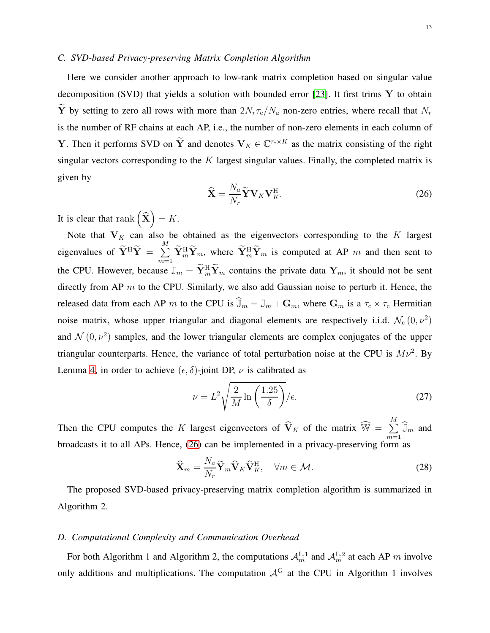# *C. SVD-based Privacy-preserving Matrix Completion Algorithm*

Here we consider another approach to low-rank matrix completion based on singular value decomposition (SVD) that yields a solution with bounded error [\[23\]](#page-29-10). It first trims  $Y$  to obtain  $\widetilde{Y}$  by setting to zero all rows with more than  $2N_r\tau_c/N_a$  non-zero entries, where recall that  $N_r$ is the number of RF chains at each AP, i.e., the number of non-zero elements in each column of **Y**. Then it performs SVD on  $\tilde{Y}$  and denotes  $V_K \in \mathbb{C}^{\tau_c \times K}$  as the matrix consisting of the right singular vectors corresponding to the  $K$  largest singular values. Finally, the completed matrix is given by

<span id="page-12-0"></span>
$$
\widehat{\mathbf{X}} = \frac{N_a}{N_r} \widetilde{\mathbf{Y}} \mathbf{V}_K \mathbf{V}_K^{\mathrm{H}}.
$$
\n(26)

It is clear that rank  $(\hat{\mathbf{X}}) = K$ .

Note that  $V_K$  can also be obtained as the eigenvectors corresponding to the K largest eigenvalues of  $\widetilde{\mathbf{Y}}^{\text{H}}\widetilde{\mathbf{Y}} = \sum_{i=1}^{M}$  $\sum_{m=1}$   $\overline{Y}_m^H \overline{Y}_m$ , where  $\overline{Y}_m^H \overline{Y}_m$  is computed at AP m and then sent to the CPU. However, because  $\mathbb{J}_m = \tilde{\mathbf{Y}}_m^H \tilde{\mathbf{Y}}_m$  contains the private data  $\mathbf{Y}_m$ , it should not be sent directly from AP  $m$  to the CPU. Similarly, we also add Gaussian noise to perturb it. Hence, the released data from each AP m to the CPU is  $\hat{\mathbb{J}}_m = \mathbb{J}_m + \mathbf{G}_m$ , where  $\mathbf{G}_m$  is a  $\tau_c \times \tau_c$  Hermitian noise matrix, whose upper triangular and diagonal elements are respectively i.i.d.  $\mathcal{N}_c(0, \nu^2)$ and  $\mathcal{N}(0, \nu^2)$  samples, and the lower triangular elements are complex conjugates of the upper triangular counterparts. Hence, the variance of total perturbation noise at the CPU is  $M\nu^2$ . By Lemma [4,](#page-7-0) in order to achieve  $(\epsilon, \delta)$ -joint DP,  $\nu$  is calibrated as

<span id="page-12-1"></span>
$$
\nu = L^2 \sqrt{\frac{2}{M} \ln \left( \frac{1.25}{\delta} \right)} / \epsilon.
$$
 (27)

Then the CPU computes the K largest eigenvectors of  $\widehat{V}_K$  of the matrix  $\widehat{W} = \sum_{i=1}^{M}$  $\sum_{m=1}$   $\widehat{\mathbb{J}}_m$  and broadcasts it to all APs. Hence, [\(26\)](#page-12-0) can be implemented in a privacy-preserving form as

<span id="page-12-2"></span>
$$
\widehat{\mathbf{X}}_{m} = \frac{N_a}{N_r} \widetilde{\mathbf{Y}}_{m} \widehat{\mathbf{V}}_{K} \widehat{\mathbf{V}}_{K}^{\mathrm{H}}, \quad \forall m \in \mathcal{M}.
$$
\n(28)

The proposed SVD-based privacy-preserving matrix completion algorithm is summarized in Algorithm 2.

## *D. Computational Complexity and Communication Overhead*

For both Algorithm 1 and Algorithm 2, the computations  $A_m^{\text{L},1}$  and  $A_m^{\text{L},2}$  at each AP m involve only additions and multiplications. The computation  $A<sup>G</sup>$  at the CPU in Algorithm 1 involves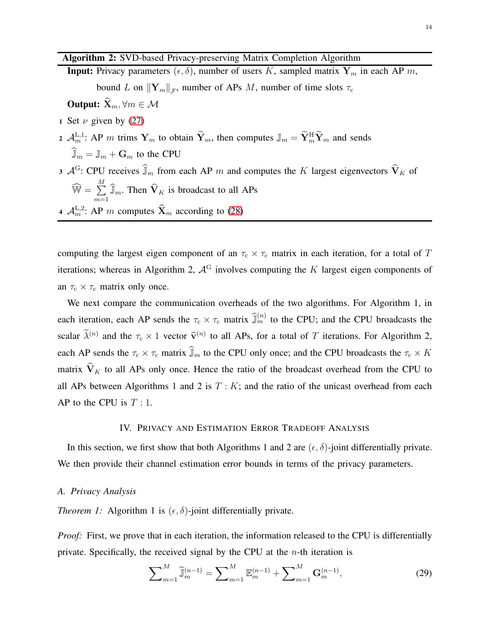# Algorithm 2: SVD-based Privacy-preserving Matrix Completion Algorithm

- **Input:** Privacy parameters  $(\epsilon, \delta)$ , number of users K, sampled matrix  $Y_m$  in each AP m, bound L on  $\|\mathbf{Y}_m\|_{\mathcal{F}}$ , number of APs M, number of time slots  $\tau_c$ **Output:**  $\widehat{\mathbf{X}}_m, \forall m \in \mathcal{M}$
- 1 Set  $\nu$  given by [\(27\)](#page-12-1)
- 2  $\mathcal{A}_m^{\text{L},1}$ : AP m trims  $\mathbf{Y}_m$  to obtain  $\mathbf{Y}_m$ , then computes  $\mathbb{J}_m = \mathbf{Y}_m^{\text{H}} \mathbf{Y}_m$  and sends  $\widehat{\mathbb{J}}_m = \mathbb{J}_m + \mathbf{G}_m$  to the CPU
- 3  $\mathcal{A}^G$ : CPU receives  $\widehat{J}_m$  from each AP m and computes the K largest eigenvectors  $\widehat{V}_K$  of  $\widehat{\mathbb{W}} = \sum_{i=1}^M$  $\sum_{m=1}$   $\widehat{\mathbb{J}}_m$ . Then  $\widehat{\mathbf{V}}_K$  is broadcast to all APs
- 4  $\mathcal{A}_{m}^{\text{L},2}$ : AP *m* computes  $\mathbf{\hat{X}}_{m}$  according to [\(28\)](#page-12-2)

computing the largest eigen component of an  $\tau_c \times \tau_c$  matrix in each iteration, for a total of T iterations; whereas in Algorithm 2,  $A<sup>G</sup>$  involves computing the K largest eigen components of an  $\tau_c \times \tau_c$  matrix only once.

We next compare the communication overheads of the two algorithms. For Algorithm 1, in each iteration, each AP sends the  $\tau_c \times \tau_c$  matrix  $\widehat{\mathbb{J}}_m^{(n)}$  to the CPU; and the CPU broadcasts the scalar  $\lambda^{(n)}$  and the  $\tau_c \times 1$  vector  $\hat{\mathbf{v}}^{(n)}$  to all APs, for a total of T iterations. For Algorithm 2, each AP sends the  $\tau_c \times \tau_c$  matrix  $\widehat{J}_m$  to the CPU only once; and the CPU broadcasts the  $\tau_c \times K$ matrix  $\widehat{V}_K$  to all APs only once. Hence the ratio of the broadcast overhead from the CPU to all APs between Algorithms 1 and 2 is  $T : K$ ; and the ratio of the unicast overhead from each AP to the CPU is  $T:1$ .

## IV. PRIVACY AND ESTIMATION ERROR TRADEOFF ANALYSIS

In this section, we first show that both Algorithms 1 and 2 are  $(\epsilon, \delta)$ -joint differentially private. We then provide their channel estimation error bounds in terms of the privacy parameters.

## *A. Privacy Analysis*

*Theorem 1:* Algorithm 1 is  $(\epsilon, \delta)$ -joint differentially private.

*Proof:* First, we prove that in each iteration, the information released to the CPU is differentially private. Specifically, the received signal by the CPU at the  $n$ -th iteration is

$$
\sum_{m=1}^{M} \hat{\mathbb{J}}_{m}^{(n-1)} = \sum_{m=1}^{M} \mathbb{E}_{m}^{(n-1)} + \sum_{m=1}^{M} \mathbf{G}_{m}^{(n-1)},
$$
\n(29)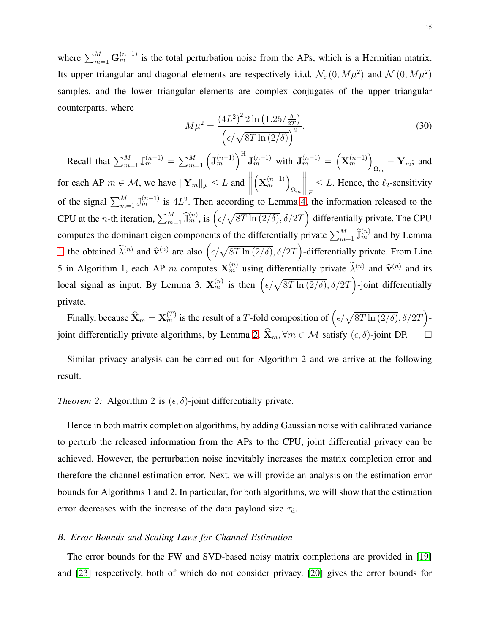where  $\sum_{m=1}^{M} G_m^{(n-1)}$  is the total perturbation noise from the APs, which is a Hermitian matrix. Its upper triangular and diagonal elements are respectively i.i.d.  $\mathcal{N}_c(0, M\mu^2)$  and  $\mathcal{N}(0, M\mu^2)$ samples, and the lower triangular elements are complex conjugates of the upper triangular counterparts, where

$$
M\mu^{2} = \frac{(4L^{2})^{2} 2 \ln(1.25/\frac{\delta}{2T})}{(\epsilon/\sqrt{8T \ln(2/\delta)})^{2}}.
$$
\n(30)

Recall that  $\sum_{m=1}^{M} \mathbb{J}_{m}^{(n-1)} = \sum_{m=1}^{M} (\mathbf{J}_{m}^{(n-1)})^{\text{H}} \mathbf{J}_{m}^{(n-1)}$  with  $\mathbf{J}_{m}^{(n-1)} = (\mathbf{X}_{m}^{(n-1)})^{\text{H}}$  $_{\Omega_m}$  –  $\mathbf{Y}_m$ ; and for each AP  $m \in \mathcal{M}$ , we have  $\|\mathbf{Y}_m\|_{\mathcal{F}} \leq L$  and  $\begin{tabular}{|c|c|c|} \hline \quad \quad & \quad \quad & \quad \quad \\ \hline \quad \quad & \quad \quad & \quad \quad \\ \hline \quad \quad & \quad \quad & \quad \quad \\ \hline \quad \quad & \quad \quad & \quad \quad \\ \hline \end{tabular}$  $\left(\mathbf{X}_{m}^{(n-1)}\right)$  $\Omega_m$  $\left\| \right\|_{\mathcal{F}} \leq L$ . Hence, the  $\ell_2$ -sensitivity of the signal  $\sum_{m=1}^{M} \mathbb{J}_{m}^{(n-1)}$  is  $4L^2$ . Then according to Lemma [4,](#page-7-0) the information released to the CPU at the *n*-th iteration,  $\sum_{m=1}^{M} \hat{\mathbb{J}}_m^{(n)}$ , is  $(\epsilon/\sqrt{8T \ln(2/\delta)}, \delta/2T)$ -differentially private. The CPU computes the dominant eigen components of the differentially private  $\sum_{m=1}^{M} \hat{J}_m^{(n)}$  and by Lemma [1,](#page-6-1) the obtained  $\tilde{\lambda}^{(n)}$  and  $\hat{\mathbf{v}}^{(n)}$  are also  $(\epsilon/\sqrt{8T \ln(2/\delta)}, \delta/2T)$ -differentially private. From Line 5 in Algorithm 1, each AP m computes  $X_m^{(n)}$  using differentially private  $\widetilde{\lambda}^{(n)}$  and  $\widehat{\mathbf{v}}^{(n)}$  and its local signal as input. By Lemma 3,  $\mathbf{X}_m^{(n)}$  is then  $(\epsilon/\sqrt{8T \ln(2/\delta)}, \delta/2T)$ -joint differentially private.

Finally, because  $\widehat{\mathbf{X}}_m = \mathbf{X}_m^{(T)}$  is the result of a T-fold composition of  $(\epsilon/\sqrt{8T \ln{(2/\delta)}}, \delta/2T)$ -joint differentially private algorithms, by Lemma [2,](#page-6-0)  $\hat{\mathbf{X}}_m$ ,  $\forall m \in \mathcal{M}$  satisfy  $(\epsilon, \delta)$ -joint DP.  $\Box$ 

Similar privacy analysis can be carried out for Algorithm 2 and we arrive at the following result.

*Theorem 2:* Algorithm 2 is  $(\epsilon, \delta)$ -joint differentially private.

Hence in both matrix completion algorithms, by adding Gaussian noise with calibrated variance to perturb the released information from the APs to the CPU, joint differential privacy can be achieved. However, the perturbation noise inevitably increases the matrix completion error and therefore the channel estimation error. Next, we will provide an analysis on the estimation error bounds for Algorithms 1 and 2. In particular, for both algorithms, we will show that the estimation error decreases with the increase of the data payload size  $\tau_d$ .

## *B. Error Bounds and Scaling Laws for Channel Estimation*

The error bounds for the FW and SVD-based noisy matrix completions are provided in [\[19\]](#page-29-7) and [\[23\]](#page-29-10) respectively, both of which do not consider privacy. [\[20\]](#page-29-9) gives the error bounds for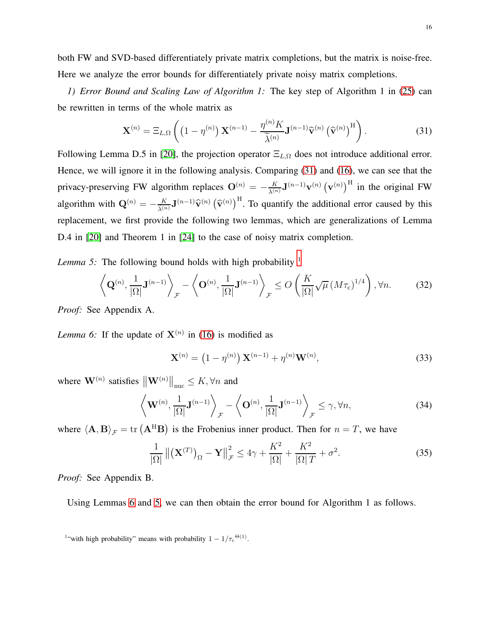both FW and SVD-based differentiately private matrix completions, but the matrix is noise-free. Here we analyze the error bounds for differentiately private noisy matrix completions.

*1) Error Bound and Scaling Law of Algorithm 1:* The key step of Algorithm 1 in [\(25\)](#page-11-2) can be rewritten in terms of the whole matrix as

<span id="page-15-0"></span>
$$
\mathbf{X}^{(n)} = \Xi_{L,\Omega}\left( \left(1 - \eta^{(n)}\right) \mathbf{X}^{(n-1)} - \frac{\eta^{(n)} K}{\widetilde{\lambda}^{(n)}} \mathbf{J}^{(n-1)} \widehat{\mathbf{v}}^{(n)} \left(\widehat{\mathbf{v}}^{(n)}\right)^{\mathrm{H}} \right). \tag{31}
$$

Following Lemma D.5 in [\[20\]](#page-29-9), the projection operator  $\Xi_{L,\Omega}$  does not introduce additional error. Hence, we will ignore it in the following analysis. Comparing [\(31\)](#page-15-0) and [\(16\)](#page-9-2), we can see that the privacy-preserving FW algorithm replaces  $O^{(n)} = -\frac{K}{\lambda^{(n)}} \mathbf{J}^{(n-1)} \mathbf{v}^{(n)} (\mathbf{v}^{(n)})^{\text{H}}$  in the original FW algorithm with  $\mathbf{Q}^{(n)} = -\frac{K}{\tilde{\lambda}^{(n)}} \mathbf{J}^{(n-1)} \hat{\mathbf{v}}^{(n)} \left( \hat{\mathbf{v}}^{(n)} \right)^{\text{H}}$ . To quantify the additional error caused by this replacement, we first provide the following two lemmas, which are generalizations of Lemma D.4 in [\[20\]](#page-29-9) and Theorem 1 in [\[24\]](#page-29-11) to the case of noisy matrix completion.

<span id="page-15-3"></span>*Lemma 5:* The following bound holds with high probability <sup>[1](#page-15-1)</sup>

$$
\left\langle \mathbf{Q}^{(n)}, \frac{1}{|\Omega|} \mathbf{J}^{(n-1)} \right\rangle_{\mathcal{F}} - \left\langle \mathbf{O}^{(n)}, \frac{1}{|\Omega|} \mathbf{J}^{(n-1)} \right\rangle_{\mathcal{F}} \le O\left(\frac{K}{|\Omega|} \sqrt{\mu} \left(M\tau_c\right)^{1/4}\right), \forall n. \tag{32}
$$

<span id="page-15-2"></span>*Proof:* See Appendix A.

*Lemma 6:* If the update of  $X^{(n)}$  in [\(16\)](#page-9-2) is modified as

<span id="page-15-4"></span>
$$
\mathbf{X}^{(n)} = (1 - \eta^{(n)}) \mathbf{X}^{(n-1)} + \eta^{(n)} \mathbf{W}^{(n)},
$$
\n(33)

where  $\mathbf{W}^{(n)}$  satisfies  $\left\| \mathbf{W}^{(n)} \right\|_{\text{nuc}} \leq K$ ,  $\forall n$  and

<span id="page-15-5"></span>
$$
\left\langle \mathbf{W}^{(n)}, \frac{1}{|\Omega|} \mathbf{J}^{(n-1)} \right\rangle_{\mathcal{F}} - \left\langle \mathbf{O}^{(n)}, \frac{1}{|\Omega|} \mathbf{J}^{(n-1)} \right\rangle_{\mathcal{F}} \le \gamma, \forall n,
$$
\n(34)

where  $\langle \mathbf{A}, \mathbf{B} \rangle_{\mathcal{F}} = \text{tr} \left( \mathbf{A}^{\text{H}} \mathbf{B} \right)$  is the Frobenius inner product. Then for  $n = T$ , we have

<span id="page-15-6"></span>
$$
\frac{1}{|\Omega|} \|(\mathbf{X}^{(T)})_{\Omega} - \mathbf{Y}\|_{\mathcal{F}}^2 \le 4\gamma + \frac{K^2}{|\Omega|} + \frac{K^2}{|\Omega|T} + \sigma^2.
$$
 (35)

*Proof:* See Appendix B.

Using Lemmas [6](#page-15-2) and [5,](#page-15-3) we can then obtain the error bound for Algorithm 1 as follows.

<span id="page-15-1"></span><sup>&</sup>lt;sup>1</sup>"with high probability" means with probability  $1 - 1/\tau_c^{(\Theta(1))}$ .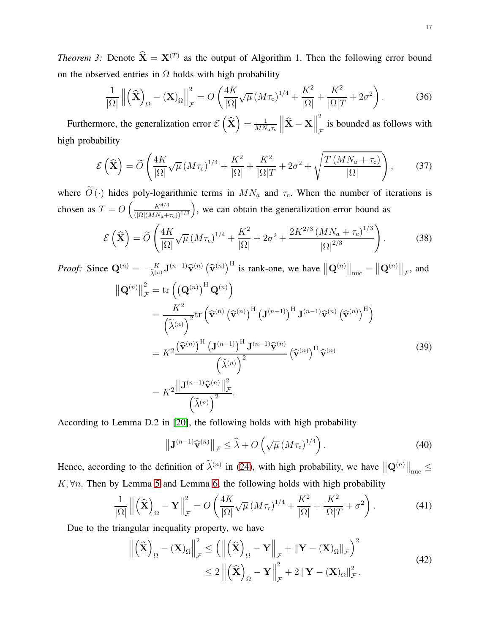*Theorem 3:* Denote  $\hat{\mathbf{X}} = \mathbf{X}^{(T)}$  as the output of Algorithm 1. Then the following error bound on the observed entries in  $\Omega$  holds with high probability

<span id="page-16-0"></span>
$$
\frac{1}{|\Omega|} \left\| \left( \widehat{\mathbf{X}} \right)_{\Omega} - (\mathbf{X})_{\Omega} \right\|_{\mathcal{F}}^2 = O \left( \frac{4K}{|\Omega|} \sqrt{\mu} \left( M \tau_c \right)^{1/4} + \frac{K^2}{|\Omega|} + \frac{K^2}{|\Omega| T} + 2\sigma^2 \right). \tag{36}
$$

Furthermore, the generalization error  $\mathcal{E}(\hat{\mathbf{X}}) = \frac{1}{MN}$  $MN_a\tau_c$  $\left\| \widehat{\mathbf{X}}-\mathbf{X}\right\|$ 2 is bounded as follows with  $\mathcal{F}$ high probability

<span id="page-16-1"></span>
$$
\mathcal{E}\left(\widehat{\mathbf{X}}\right) = \widetilde{O}\left(\frac{4K}{|\Omega|}\sqrt{\mu}\left(M\tau_c\right)^{1/4} + \frac{K^2}{|\Omega|} + \frac{K^2}{|\Omega|T} + 2\sigma^2 + \sqrt{\frac{T\left(MN_a + \tau_c\right)}{|\Omega|}}\right),\tag{37}
$$

where  $\tilde{O}(\cdot)$  hides poly-logarithmic terms in  $MN_a$  and  $\tau_c$ . When the number of iterations is chosen as  $T = O\left(\frac{K^{4/3}}{\sqrt{O(N)}\right)^{1/3}}\right)$  $(|\Omega|(MN_a+\tau_c))^{1/3}$ ), we can obtain the generalization error bound as

<span id="page-16-2"></span>
$$
\mathcal{E}\left(\widehat{\mathbf{X}}\right) = \widetilde{O}\left(\frac{4K}{|\Omega|}\sqrt{\mu}\left(M\tau_c\right)^{1/4} + \frac{K^2}{|\Omega|} + 2\sigma^2 + \frac{2K^{2/3}\left(MN_a + \tau_c\right)^{1/3}}{|\Omega|^{2/3}}\right). \tag{38}
$$

*Proof:* Since  $\mathbf{Q}^{(n)} = -\frac{K}{\tilde{\lambda}^{(n)}} \mathbf{J}^{(n-1)} \hat{\mathbf{v}}^{(n)} \left( \hat{\mathbf{v}}^{(n)} \right)^{\text{H}}$  is rank-one, we have  $\left\| \mathbf{Q}^{(n)} \right\|_{\text{nuc}} = \left\| \mathbf{Q}^{(n)} \right\|_{\mathcal{F}}$ , and  $\left\Vert \mathbf{Q}^{\left( n\right) }\right\Vert$ 2  $\frac{2}{\mathcal{F}} = \text{tr} \left( \left( \mathbf{Q}^{(n)} \right)^{\text{H}} \mathbf{Q}^{(n)} \right)$ =  $K^2$  $\frac{K^{2}}{\left(\widetilde{\lambda}^{(n)}\right)^{2}}\text{tr}\left(\widehat{\mathbf{v}}^{(n)}\left(\widehat{\mathbf{v}}^{(n)}\right)^{\text{H}}\left(\mathbf{J}^{(n-1)}\right)^{\text{H}}\mathbf{J}^{(n-1)}\widehat{\mathbf{v}}^{(n)}\left(\widehat{\mathbf{v}}^{(n)}\right)^{\text{H}}\right)$  $= K^2$  $\left(\widehat{\mathbf{v}}^{(n)}\right)^{\mathrm{H}}\left(\mathbf{J}^{(n-1)}\right)^{\mathrm{H}}\mathbf{J}^{(n-1)}\widehat{\mathbf{v}}^{(n)}$  $\left(\widetilde{\lambda}^{(n)}\right)^2$  $\left(\widehat{\mathbf{v}}^{(n)}\right)^{\text{H}} \widehat{\mathbf{v}}^{(n)}$  $= K^2$  $\left\Vert \mathbf{J}^{(n-1)}\mathbf{\widehat{v}}^{(n)}\right\Vert _{\mathcal{I}}^{2}$ F  $\frac{111}{(\widetilde{\lambda}^{(n)})^2}.$ (39)

According to Lemma D.2 in [\[20\]](#page-29-9), the following holds with high probability

$$
\left\| \mathbf{J}^{(n-1)} \widehat{\mathbf{v}}^{(n)} \right\|_{\mathcal{F}} \leq \widehat{\lambda} + O\left(\sqrt{\mu} \left(M\tau_{\rm c}\right)^{1/4}\right). \tag{40}
$$

Hence, according to the definition of  $\tilde{\lambda}^{(n)}$  in [\(24\)](#page-11-1), with high probability, we have  $\|\mathbf{Q}^{(n)}\|_{\text{nuc}} \leq$  $K, \forall n$ . Then by Lemma [5](#page-15-3) and Lemma [6,](#page-15-2) the following holds with high probability

$$
\frac{1}{|\Omega|} \left\| \left( \widehat{\mathbf{X}} \right)_{\Omega} - \mathbf{Y} \right\|_{\mathcal{F}}^2 = O \left( \frac{4K}{|\Omega|} \sqrt{\mu} \left( M \tau_c \right)^{1/4} + \frac{K^2}{|\Omega|} + \frac{K^2}{|\Omega| T} + \sigma^2 \right). \tag{41}
$$

Due to the triangular inequality property, we have

$$
\left\| \left( \hat{\mathbf{X}} \right)_{\Omega} - (\mathbf{X})_{\Omega} \right\|_{\mathcal{F}}^2 \le \left( \left\| \left( \hat{\mathbf{X}} \right)_{\Omega} - \mathbf{Y} \right\|_{\mathcal{F}} + \left\| \mathbf{Y} - (\mathbf{X})_{\Omega} \right\|_{\mathcal{F}} \right)^2
$$
  
\n
$$
\le 2 \left\| \left( \hat{\mathbf{X}} \right)_{\Omega} - \mathbf{Y} \right\|_{\mathcal{F}}^2 + 2 \left\| \mathbf{Y} - (\mathbf{X})_{\Omega} \right\|_{\mathcal{F}}^2.
$$
\n(42)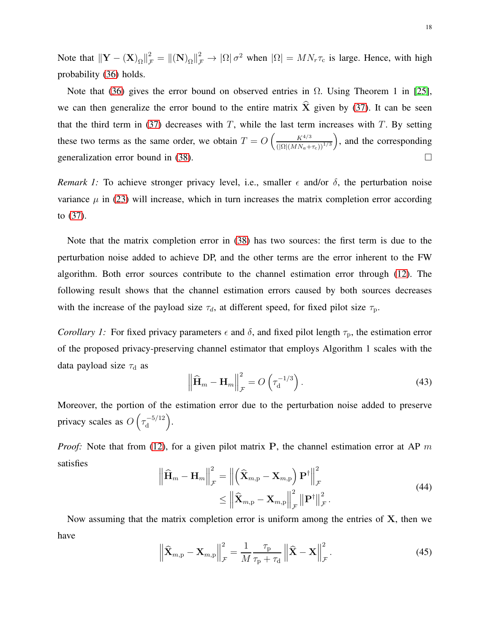Note that  $\|\mathbf{Y} - (\mathbf{X})_{\Omega}\|_{\mathcal{F}}^2 = \|(\mathbf{N})_{\Omega}\|_{\mathcal{F}}^2 \to |\Omega| \sigma^2$  when  $|\Omega| = MN_r \tau_c$  is large. Hence, with high probability [\(36\)](#page-16-0) holds.

Note that [\(36\)](#page-16-0) gives the error bound on observed entries in  $Ω$ . Using Theorem 1 in [\[25\]](#page-29-12), we can then generalize the error bound to the entire matrix  $\hat{\mathbf{X}}$  given by [\(37\)](#page-16-1). It can be seen that the third term in [\(37\)](#page-16-1) decreases with  $T$ , while the last term increases with  $T$ . By setting these two terms as the same order, we obtain  $T = O\left(\frac{K^{4/3}}{\sqrt{O(NM)/3}}\right)$  $(|\Omega|(MN_a+\tau_c))^{1/3}$ ), and the corresponding generalization error bound in [\(38\)](#page-16-2).

*Remark 1:* To achieve stronger privacy level, i.e., smaller  $\epsilon$  and/or  $\delta$ , the perturbation noise variance  $\mu$  in [\(23\)](#page-11-0) will increase, which in turn increases the matrix completion error according to [\(37\)](#page-16-1).

Note that the matrix completion error in [\(38\)](#page-16-2) has two sources: the first term is due to the perturbation noise added to achieve DP, and the other terms are the error inherent to the FW algorithm. Both error sources contribute to the channel estimation error through [\(12\)](#page-8-0). The following result shows that the channel estimation errors caused by both sources decreases with the increase of the payload size  $\tau_d$ , at different speed, for fixed pilot size  $\tau_p$ .

*Corollary 1:* For fixed privacy parameters  $\epsilon$  and  $\delta$ , and fixed pilot length  $\tau_p$ , the estimation error of the proposed privacy-preserving channel estimator that employs Algorithm 1 scales with the data payload size  $\tau_d$  as

$$
\left\| \widehat{\mathbf{H}}_m - \mathbf{H}_m \right\|_{\mathcal{F}}^2 = O\left(\tau_{\mathbf{d}}^{-1/3}\right). \tag{43}
$$

Moreover, the portion of the estimation error due to the perturbation noise added to preserve privacy scales as  $O(\tau_d^{-5/12})$ d .

*Proof:* Note that from [\(12\)](#page-8-0), for a given pilot matrix P, the channel estimation error at AP m satisfies 2  $\Omega$ 

<span id="page-17-0"></span>
$$
\left\| \widehat{\mathbf{H}}_{m} - \mathbf{H}_{m} \right\|_{\mathcal{F}}^{2} = \left\| \left( \widehat{\mathbf{X}}_{m, p} - \mathbf{X}_{m, p} \right) \mathbf{P}^{\dagger} \right\|_{\mathcal{F}}^{2} \n\leq \left\| \widehat{\mathbf{X}}_{m, p} - \mathbf{X}_{m, p} \right\|_{\mathcal{F}}^{2} \left\| \mathbf{P}^{\dagger} \right\|_{\mathcal{F}}^{2}.
$$
\n(44)

Now assuming that the matrix completion error is uniform among the entries of  $X$ , then we have

<span id="page-17-1"></span>
$$
\left\| \widehat{\mathbf{X}}_{m,p} - \mathbf{X}_{m,p} \right\|_{\mathcal{F}}^2 = \frac{1}{M} \frac{\tau_p}{\tau_p + \tau_d} \left\| \widehat{\mathbf{X}} - \mathbf{X} \right\|_{\mathcal{F}}^2.
$$
 (45)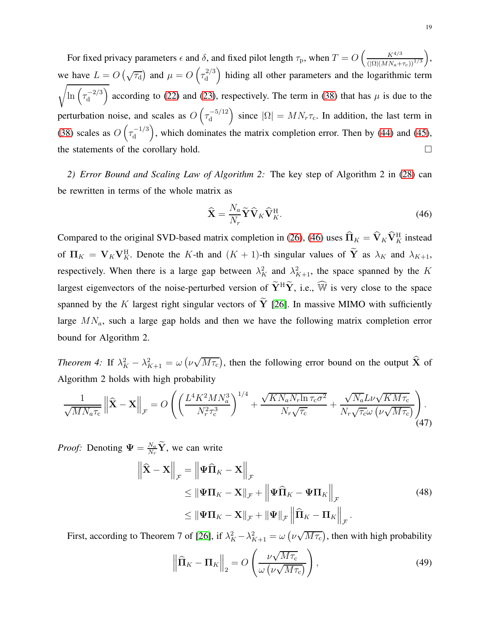For fixed privacy parameters  $\epsilon$  and  $\delta$ , and fixed pilot length  $\tau_p$ , when  $T = O\left(\frac{K^{4/3}}{(\text{col}(MN))}\right)$  $(|\Omega|(MN_a+\tau_c))^{1/3}$  , we have  $L = O(\sqrt{\tau_d})$  and  $\mu = O(\tau_d^{2/3})$ d hiding all other parameters and the logarithmic term  $\sqrt{\ln\left(\tau_{\rm d}^{-2/3}\right)}$ d ) according to [\(22\)](#page-11-3) and [\(23\)](#page-11-0), respectively. The term in [\(38\)](#page-16-2) that has  $\mu$  is due to the perturbation noise, and scales as  $O(\tau_d^{-5/12})$ d ) since  $|\Omega| = MN<sub>r</sub> \tau_c$ . In addition, the last term in [\(38\)](#page-16-2) scales as  $O\left(\tau_{\rm d}^{-1/3}\right)$ d ), which dominates the matrix completion error. Then by  $(44)$  and  $(45)$ , the statements of the corollary hold.

*2) Error Bound and Scaling Law of Algorithm 2:* The key step of Algorithm 2 in [\(28\)](#page-12-2) can be rewritten in terms of the whole matrix as

<span id="page-18-0"></span>
$$
\widehat{\mathbf{X}} = \frac{N_a}{N_r} \widetilde{\mathbf{Y}} \widehat{\mathbf{V}}_K \widehat{\mathbf{V}}_K^{\mathrm{H}}.
$$
\n(46)

Compared to the original SVD-based matrix completion in [\(26\)](#page-12-0), [\(46\)](#page-18-0) uses  $\hat{\Pi}_K = \hat{V}_K \hat{V}_K^H$  instead of  $\Pi_K = \mathbf{V}_K \mathbf{V}_K^{\text{H}}$ . Denote the K-th and  $(K + 1)$ -th singular values of  $\mathbf{\tilde{Y}}$  as  $\lambda_K$  and  $\lambda_{K+1}$ , respectively. When there is a large gap between  $\lambda_K^2$  and  $\lambda_{K+1}^2$ , the space spanned by the K largest eigenvectors of the noise-perturbed version of  $\widetilde{Y}^H\widetilde{Y}$ , i.e.,  $\widehat{W}$  is very close to the space spanned by the K largest right singular vectors of  $\tilde{Y}$  [\[26\]](#page-29-13). In massive MIMO with sufficiently large  $MN_a$ , such a large gap holds and then we have the following matrix completion error bound for Algorithm 2.

*Theorem 4:* If  $\lambda_K^2 - \lambda_{K+1}^2 = \omega \left( \nu \sqrt{M \tau_c} \right)$ , then the following error bound on the output  $\hat{X}$  of Algorithm 2 holds with high probability

<span id="page-18-2"></span>
$$
\frac{1}{\sqrt{MN_a\tau_c}} \left\| \widehat{\mathbf{X}} - \mathbf{X} \right\|_{\mathcal{F}} = O\left( \left( \frac{L^4 K^2 M N_a^3}{N_r^2 \tau_c^3} \right)^{1/4} + \frac{\sqrt{KN_a N_r \ln \tau_c \sigma^2}}{N_r \sqrt{\tau_c}} + \frac{\sqrt{N_a} L \nu \sqrt{KM \tau_c}}{N_r \sqrt{\tau_c} \omega \left( \nu \sqrt{M \tau_c} \right)} \right) \tag{47}
$$

*Proof:* Denoting  $\Psi = \frac{N_a}{N_r} \tilde{Y}$ , we can write

<span id="page-18-1"></span>
$$
\begin{aligned}\n\left\|\widehat{\mathbf{X}} - \mathbf{X}\right\|_{\mathcal{F}} &= \left\|\Psi\widehat{\mathbf{\Pi}}_{K} - \mathbf{X}\right\|_{\mathcal{F}} \\
&\leq \left\|\Psi\mathbf{\Pi}_{K} - \mathbf{X}\right\|_{\mathcal{F}} + \left\|\Psi\widehat{\mathbf{\Pi}}_{K} - \Psi\mathbf{\Pi}_{K}\right\|_{\mathcal{F}} \\
&\leq \left\|\Psi\mathbf{\Pi}_{K} - \mathbf{X}\right\|_{\mathcal{F}} + \left\|\Psi\right\|_{\mathcal{F}} \left\|\widehat{\mathbf{\Pi}}_{K} - \mathbf{\Pi}_{K}\right\|_{\mathcal{F}}.\n\end{aligned} \tag{48}
$$

First, according to Theorem 7 of [\[26\]](#page-29-13), if  $\lambda_K^2 - \lambda_{K+1}^2 = \omega \left(\nu \sqrt{M \tau_c}\right)$ , then with high probability

$$
\left\| \widehat{\mathbf{\Pi}}_K - \mathbf{\Pi}_K \right\|_2 = O\left( \frac{\nu \sqrt{M\tau_c}}{\omega \left( \nu \sqrt{M\tau_c} \right)} \right),\tag{49}
$$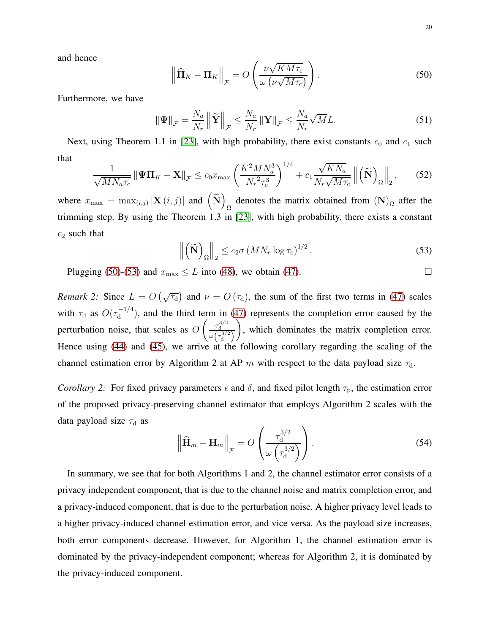and hence

<span id="page-19-0"></span>
$$
\left\| \widehat{\mathbf{\Pi}}_K - \mathbf{\Pi}_K \right\|_{\mathcal{F}} = O\left( \frac{\nu \sqrt{K M \tau_{\rm c}}}{\omega \left( \nu \sqrt{M \tau_{\rm c}} \right)} \right). \tag{50}
$$

Furthermore, we have

$$
\|\Psi\|_{\mathcal{F}} = \frac{N_a}{N_r} \left\| \widetilde{\mathbf{Y}} \right\|_{\mathcal{F}} \le \frac{N_a}{N_r} \|\mathbf{Y}\|_{\mathcal{F}} \le \frac{N_a}{N_r} \sqrt{M} L. \tag{51}
$$

Next, using Theorem 1.1 in [\[23\]](#page-29-10), with high probability, there exist constants  $c_0$  and  $c_1$  such that

$$
\frac{1}{\sqrt{MN_a\tau_c}} \left\| \Psi\Pi_K - \mathbf{X} \right\|_{\mathcal{F}} \le c_0 x_{\text{max}} \left( \frac{K^2 M N_a^3}{N_r^2 \tau_c^3} \right)^{1/4} + c_1 \frac{\sqrt{KN_a}}{N_r \sqrt{M\tau_c}} \left\| \left( \widetilde{\mathbf{N}} \right)_{\Omega} \right\|_2, \tag{52}
$$

where  $x_{\max} = \max_{(i,j)} |\mathbf{X}(i,j)|$  and  $\left(\widetilde{\mathbf{N}}\right)$ denotes the matrix obtained from  $(N)_{\Omega}$  after the trimming step. By using the Theorem 1.3 in [\[23\]](#page-29-10), with high probability, there exists a constant  $c_2$  such that

<span id="page-19-1"></span>
$$
\left\| \left( \widetilde{\mathbf{N}} \right)_{\Omega} \right\|_{2} \leq c_{2} \sigma \left( M N_{r} \log \tau_{c} \right)^{1/2}.
$$
 (53)

Plugging [\(50\)](#page-19-0)-[\(53\)](#page-19-1) and  $x_{\text{max}} \le L$  into [\(48\)](#page-18-1), we obtain [\(47\)](#page-18-2).

*Remark 2:* Since  $L = O(\sqrt{\tau_d})$  and  $\nu = O(\tau_d)$ , the sum of the first two terms in [\(47\)](#page-18-2) scales with  $\tau_{\rm d}$  as  $O(\tau_{\rm d}^{-1/4})$  $d_d^{-1/4}$ ), and the third term in [\(47\)](#page-18-2) represents the completion error caused by the perturbation noise, that scales as O  $\int \frac{\tau_{\rm d}^{3/2}}{1}$  $\omega\left(\tau_{\rm d}^{3/2}\right)$  $\overline{ }$ , which dominates the matrix completion error. Hence using [\(44\)](#page-17-0) and [\(45\)](#page-17-1), we arrive at the following corollary regarding the scaling of the channel estimation error by Algorithm 2 at AP m with respect to the data payload size  $\tau_d$ .

*Corollary 2:* For fixed privacy parameters  $\epsilon$  and  $\delta$ , and fixed pilot length  $\tau_p$ , the estimation error of the proposed privacy-preserving channel estimator that employs Algorithm 2 scales with the data payload size  $\tau_d$  as

$$
\left\| \widehat{\mathbf{H}}_m - \mathbf{H}_m \right\|_{\mathcal{F}} = O\left( \frac{\tau_{\rm d}^{3/2}}{\omega \left( \tau_{\rm d}^{3/2} \right)} \right). \tag{54}
$$

In summary, we see that for both Algorithms 1 and 2, the channel estimator error consists of a privacy independent component, that is due to the channel noise and matrix completion error, and a privacy-induced component, that is due to the perturbation noise. A higher privacy level leads to a higher privacy-induced channel estimation error, and vice versa. As the payload size increases, both error components decrease. However, for Algorithm 1, the channel estimation error is dominated by the privacy-independent component; whereas for Algorithm 2, it is dominated by the privacy-induced component.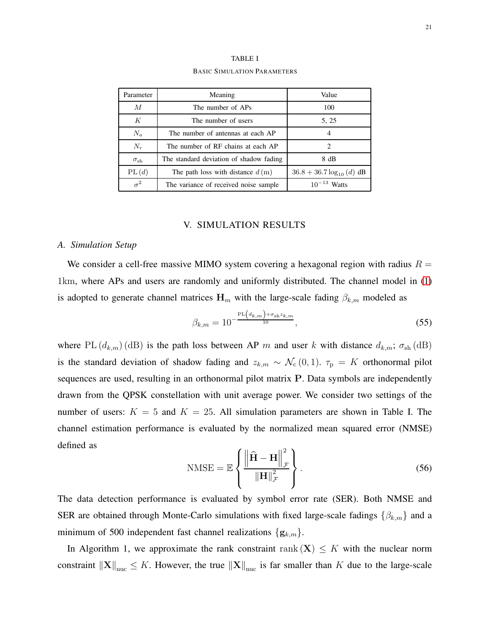| Parameter         | Meaning                                 | Value                          |  |
|-------------------|-----------------------------------------|--------------------------------|--|
| $\overline{M}$    | The number of APs                       | 100                            |  |
| K                 | The number of users                     | 5, 25                          |  |
| $N_a$             | The number of antennas at each AP       | 4                              |  |
| $N_r$             | The number of RF chains at each AP      | 2                              |  |
| $\sigma_{\rm sh}$ | The standard deviation of shadow fading | 8 dB                           |  |
| PL(d)             | The path loss with distance $d(m)$      | $36.8 + 36.7 \log_{10} (d)$ dB |  |
| $\sigma^2$        | The variance of received noise sample   | $10^{-13}$ Watts               |  |

TABLE I BASIC SIMULATION PARAMETERS

## V. SIMULATION RESULTS

### *A. Simulation Setup*

We consider a cell-free massive MIMO system covering a hexagonal region with radius  $R =$ 1km, where APs and users are randomly and uniformly distributed. The channel model in [\(1\)](#page-4-1) is adopted to generate channel matrices  $H_m$  with the large-scale fading  $\beta_{k,m}$  modeled as

$$
\beta_{k,m} = 10^{-\frac{\text{PL}(d_{k,m}) + \sigma_{\text{sh}} z_{k,m}}{10}},\tag{55}
$$

where PL  $(d_{k,m})$  (dB) is the path loss between AP m and user k with distance  $d_{k,m}$ ;  $\sigma_{sh}$  (dB) is the standard deviation of shadow fading and  $z_{k,m} \sim \mathcal{N}_{c}(0,1)$ .  $\tau_{p} = K$  orthonormal pilot sequences are used, resulting in an orthonormal pilot matrix P. Data symbols are independently drawn from the QPSK constellation with unit average power. We consider two settings of the number of users:  $K = 5$  and  $K = 25$ . All simulation parameters are shown in Table I. The channel estimation performance is evaluated by the normalized mean squared error (NMSE) defined as

$$
\text{NMSE} = \mathbb{E}\left\{ \frac{\left\| \widehat{\mathbf{H}} - \mathbf{H} \right\|_{\mathcal{F}}^2}{\left\| \mathbf{H} \right\|_{\mathcal{F}}^2} \right\}.
$$
\n(56)

The data detection performance is evaluated by symbol error rate (SER). Both NMSE and SER are obtained through Monte-Carlo simulations with fixed large-scale fadings  $\{\beta_{k,m}\}$  and a minimum of 500 independent fast channel realizations  $\{g_{k,m}\}.$ 

In Algorithm 1, we approximate the rank constraint rank  $(X) \leq K$  with the nuclear norm constraint  $\|\mathbf{X}\|_{\text{nuc}} \leq K$ . However, the true  $\|\mathbf{X}\|_{\text{nuc}}$  is far smaller than K due to the large-scale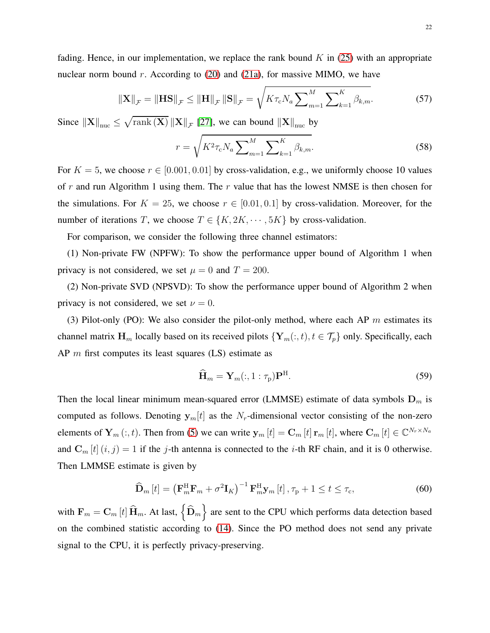fading. Hence, in our implementation, we replace the rank bound  $K$  in [\(25\)](#page-11-2) with an appropriate nuclear norm bound  $r$ . According to [\(20\)](#page-11-4) and [\(21a\)](#page-11-5), for massive MIMO, we have

$$
\|\mathbf{X}\|_{\mathcal{F}} = \|\mathbf{H}\mathbf{S}\|_{\mathcal{F}} \le \|\mathbf{H}\|_{\mathcal{F}} \|\mathbf{S}\|_{\mathcal{F}} = \sqrt{K\tau_{c}N_{a} \sum_{m=1}^{M} \sum_{k=1}^{K} \beta_{k,m}}.
$$
 (57)

Since  $\left\Vert \mathbf{X}\right\Vert _{\text{nuc}} \leq \sqrt{\text{rank}\left(\mathbf{X}\right)} \left\Vert \mathbf{X}\right\Vert_{\mathcal{F}}$  [\[27\]](#page-29-14), we can bound  $\left\Vert \mathbf{X}\right\Vert _{\text{nuc}}$  by

$$
r = \sqrt{K^2 \tau_{\rm c} N_a \sum_{m=1}^{M} \sum_{k=1}^{K} \beta_{k,m}}.
$$
 (58)

For  $K = 5$ , we choose  $r \in [0.001, 0.01]$  by cross-validation, e.g., we uniformly choose 10 values of r and run Algorithm 1 using them. The r value that has the lowest NMSE is then chosen for the simulations. For  $K = 25$ , we choose  $r \in [0.01, 0.1]$  by cross-validation. Moreover, for the number of iterations T, we choose  $T \in \{K, 2K, \dots, 5K\}$  by cross-validation.

For comparison, we consider the following three channel estimators:

(1) Non-private FW (NPFW): To show the performance upper bound of Algorithm 1 when privacy is not considered, we set  $\mu = 0$  and  $T = 200$ .

(2) Non-private SVD (NPSVD): To show the performance upper bound of Algorithm 2 when privacy is not considered, we set  $\nu = 0$ .

(3) Pilot-only (PO): We also consider the pilot-only method, where each AP  $m$  estimates its channel matrix  $\mathbf{H}_m$  locally based on its received pilots  $\{Y_m(:, t), t \in \mathcal{T}_p\}$  only. Specifically, each AP  $m$  first computes its least squares (LS) estimate as

$$
\widehat{\mathbf{H}}_m = \mathbf{Y}_m(:,1:\tau_p)\mathbf{P}^{\mathrm{H}}.\tag{59}
$$

Then the local linear minimum mean-squared error (LMMSE) estimate of data symbols  $D_m$  is computed as follows. Denoting  $y_m[t]$  as the  $N_r$ -dimensional vector consisting of the non-zero elements of  $\mathbf{Y}_m(:,t)$ . Then from [\(5\)](#page-4-3) we can write  $\mathbf{y}_m[t] = \mathbf{C}_m[t] \mathbf{r}_m[t]$ , where  $\mathbf{C}_m[t] \in \mathbb{C}^{N_r \times N_a}$ and  $\mathbf{C}_m[t](i, j) = 1$  if the j-th antenna is connected to the *i*-th RF chain, and it is 0 otherwise. Then LMMSE estimate is given by

$$
\widehat{\mathbf{D}}_{m}[t] = \left(\mathbf{F}_{m}^{\mathrm{H}}\mathbf{F}_{m} + \sigma^{2}\mathbf{I}_{K}\right)^{-1}\mathbf{F}_{m}^{\mathrm{H}}\mathbf{y}_{m}[t], \tau_{\mathrm{p}} + 1 \leq t \leq \tau_{\mathrm{c}},\tag{60}
$$

with  $F_m = C_m[t] \hat{H}_m$ . At last,  $\left\{ \hat{D}_m \right\}$  are sent to the CPU which performs data detection based on the combined statistic according to [\(14\)](#page-8-1). Since the PO method does not send any private signal to the CPU, it is perfectly privacy-preserving.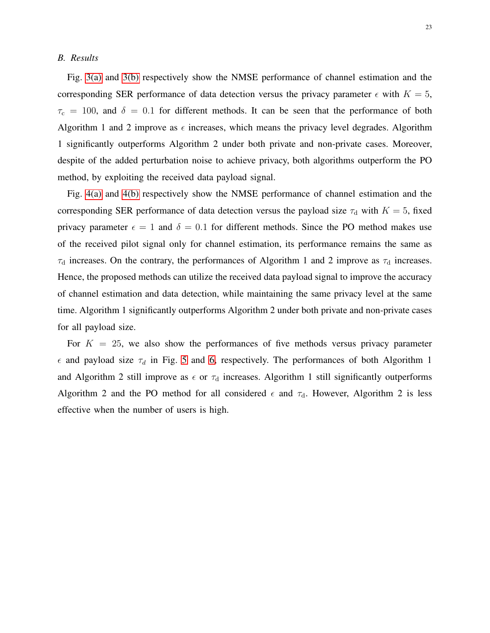## *B. Results*

Fig. [3\(a\)](#page-23-0) and [3\(b\)](#page-23-1) respectively show the NMSE performance of channel estimation and the corresponding SER performance of data detection versus the privacy parameter  $\epsilon$  with  $K = 5$ ,  $\tau_c$  = 100, and  $\delta$  = 0.1 for different methods. It can be seen that the performance of both Algorithm 1 and 2 improve as  $\epsilon$  increases, which means the privacy level degrades. Algorithm 1 significantly outperforms Algorithm 2 under both private and non-private cases. Moreover, despite of the added perturbation noise to achieve privacy, both algorithms outperform the PO method, by exploiting the received data payload signal.

Fig. [4\(a\)](#page-23-2) and [4\(b\)](#page-23-3) respectively show the NMSE performance of channel estimation and the corresponding SER performance of data detection versus the payload size  $\tau_d$  with  $K = 5$ , fixed privacy parameter  $\epsilon = 1$  and  $\delta = 0.1$  for different methods. Since the PO method makes use of the received pilot signal only for channel estimation, its performance remains the same as  $\tau_d$  increases. On the contrary, the performances of Algorithm 1 and 2 improve as  $\tau_d$  increases. Hence, the proposed methods can utilize the received data payload signal to improve the accuracy of channel estimation and data detection, while maintaining the same privacy level at the same time. Algorithm 1 significantly outperforms Algorithm 2 under both private and non-private cases for all payload size.

For  $K = 25$ , we also show the performances of five methods versus privacy parameter  $\epsilon$  and payload size  $\tau_d$  in Fig. [5](#page-24-0) and [6,](#page-25-0) respectively. The performances of both Algorithm 1 and Algorithm 2 still improve as  $\epsilon$  or  $\tau_d$  increases. Algorithm 1 still significantly outperforms Algorithm 2 and the PO method for all considered  $\epsilon$  and  $\tau_d$ . However, Algorithm 2 is less effective when the number of users is high.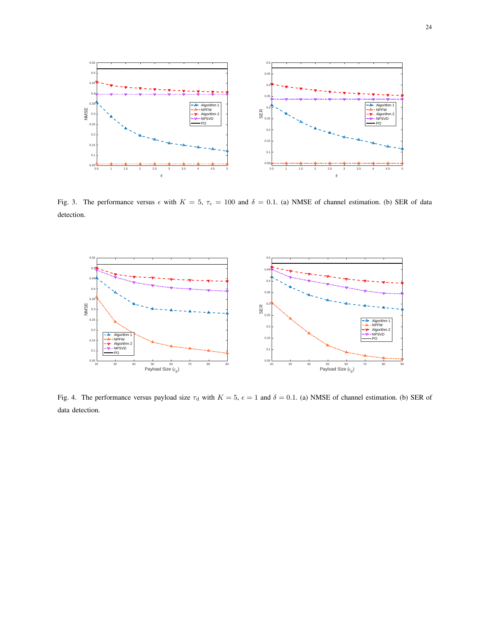<span id="page-23-0"></span>

<span id="page-23-1"></span>Fig. 3. The performance versus  $\epsilon$  with  $K = 5$ ,  $\tau_c = 100$  and  $\delta = 0.1$ . (a) NMSE of channel estimation. (b) SER of data detection.

<span id="page-23-2"></span>

<span id="page-23-3"></span>Fig. 4. The performance versus payload size  $\tau_d$  with  $K = 5$ ,  $\epsilon = 1$  and  $\delta = 0.1$ . (a) NMSE of channel estimation. (b) SER of data detection.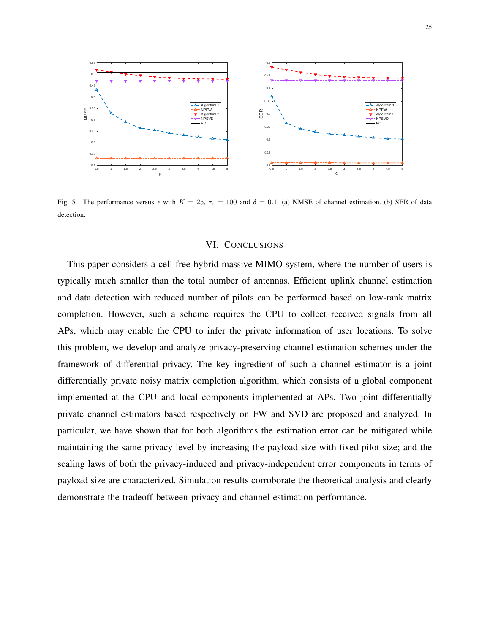

<span id="page-24-0"></span>Fig. 5. The performance versus  $\epsilon$  with  $K = 25$ ,  $\tau_c = 100$  and  $\delta = 0.1$ . (a) NMSE of channel estimation. (b) SER of data detection.

## VI. CONCLUSIONS

This paper considers a cell-free hybrid massive MIMO system, where the number of users is typically much smaller than the total number of antennas. Efficient uplink channel estimation and data detection with reduced number of pilots can be performed based on low-rank matrix completion. However, such a scheme requires the CPU to collect received signals from all APs, which may enable the CPU to infer the private information of user locations. To solve this problem, we develop and analyze privacy-preserving channel estimation schemes under the framework of differential privacy. The key ingredient of such a channel estimator is a joint differentially private noisy matrix completion algorithm, which consists of a global component implemented at the CPU and local components implemented at APs. Two joint differentially private channel estimators based respectively on FW and SVD are proposed and analyzed. In particular, we have shown that for both algorithms the estimation error can be mitigated while maintaining the same privacy level by increasing the payload size with fixed pilot size; and the scaling laws of both the privacy-induced and privacy-independent error components in terms of payload size are characterized. Simulation results corroborate the theoretical analysis and clearly demonstrate the tradeoff between privacy and channel estimation performance.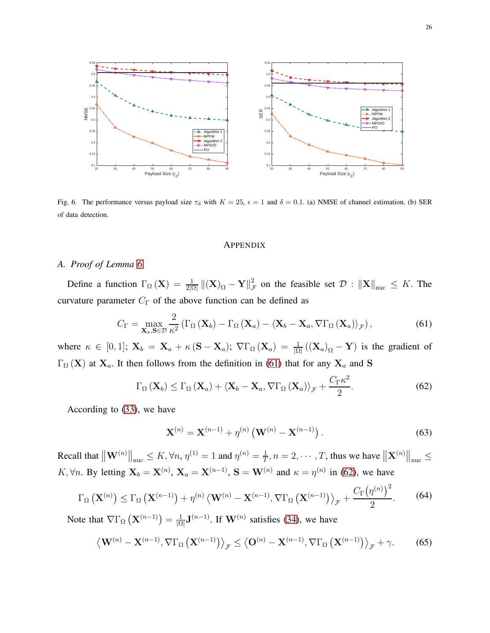

<span id="page-25-0"></span>Fig. 6. The performance versus payload size  $\tau_d$  with  $K = 25$ ,  $\epsilon = 1$  and  $\delta = 0.1$ . (a) NMSE of channel estimation. (b) SER of data detection.

#### **APPENDIX**

## *A. Proof of Lemma [6](#page-15-2)*

Define a function  $\Gamma_{\Omega}(\mathbf{X}) = \frac{1}{2|\Omega|} ||(\mathbf{X})_{\Omega} - \mathbf{Y}||_J^2$  $\mathcal{F}_{\mathcal{F}}$  on the feasible set  $\mathcal{D} : ||\mathbf{X}||_{\text{nuc}} \leq K$ . The curvature parameter  $C_{\Gamma}$  of the above function can be defined as

<span id="page-25-1"></span>
$$
C_{\Gamma} = \max_{\mathbf{X}_a, \mathbf{S} \in \mathcal{D}} \frac{2}{\kappa^2} \left( \Gamma_{\Omega} \left( \mathbf{X}_b \right) - \Gamma_{\Omega} \left( \mathbf{X}_a \right) - \langle \mathbf{X}_b - \mathbf{X}_a, \nabla \Gamma_{\Omega} \left( \mathbf{X}_a \right) \rangle_{\mathcal{F}} \right),\tag{61}
$$

where  $\kappa \in [0,1]$ ;  $\mathbf{X}_b = \mathbf{X}_a + \kappa (\mathbf{S} - \mathbf{X}_a)$ ;  $\nabla \Gamma_{\Omega} (\mathbf{X}_a) = \frac{1}{|\Omega|} ((\mathbf{X}_a)_{\Omega} - \mathbf{Y})$  is the gradient of  $\Gamma_{\Omega}$  (X) at  $X_a$ . It then follows from the definition in [\(61\)](#page-25-1) that for any  $X_a$  and S

<span id="page-25-2"></span>
$$
\Gamma_{\Omega}\left(\mathbf{X}_{b}\right) \leq \Gamma_{\Omega}\left(\mathbf{X}_{a}\right) + \left\langle \mathbf{X}_{b} - \mathbf{X}_{a}, \nabla \Gamma_{\Omega}\left(\mathbf{X}_{a}\right) \right\rangle_{\mathcal{F}} + \frac{C_{\Gamma} \kappa^{2}}{2}.
$$
\n(62)

According to [\(33\)](#page-15-4), we have

$$
\mathbf{X}^{(n)} = \mathbf{X}^{(n-1)} + \eta^{(n)} \left( \mathbf{W}^{(n)} - \mathbf{X}^{(n-1)} \right).
$$
 (63)

Recall that  $\|\mathbf{W}^{(n)}\|_{\text{nuc}} \le K$ ,  $\forall n$ ,  $\eta^{(1)} = 1$  and  $\eta^{(n)} = \frac{1}{T}$  $\frac{1}{T}$ ,  $n = 2, \dots, T$ , thus we have  $\|\mathbf{X}^{(n)}\|_{\text{nuc}} \leq$ K,  $\forall n$ . By letting  $X_b = X^{(n)}$ ,  $X_a = X^{(n-1)}$ ,  $S = W^{(n)}$  and  $\kappa = \eta^{(n)}$  in [\(62\)](#page-25-2), we have

<span id="page-25-4"></span>
$$
\Gamma_{\Omega}\left(\mathbf{X}^{(n)}\right) \leq \Gamma_{\Omega}\left(\mathbf{X}^{(n-1)}\right) + \eta^{(n)}\left\langle \mathbf{W}^{(n)} - \mathbf{X}^{(n-1)}, \nabla\Gamma_{\Omega}\left(\mathbf{X}^{(n-1)}\right) \right\rangle_{\mathcal{F}} + \frac{C_{\Gamma}\left(\eta^{(n)}\right)^2}{2}.
$$
 (64)

Note that  $\nabla\Gamma_{\Omega}\left(\mathbf{X}^{(n-1)}\right) = \frac{1}{|\Omega|}$  $\frac{1}{|\Omega|}$ **J**<sup>(n-1)</sup>. If **W**<sup>(n)</sup> satisfies [\(34\)](#page-15-5), we have

<span id="page-25-3"></span>
$$
\left\langle \mathbf{W}^{(n)} - \mathbf{X}^{(n-1)}, \nabla \Gamma_{\Omega} \left( \mathbf{X}^{(n-1)} \right) \right\rangle_{\mathcal{F}} \le \left\langle \mathbf{O}^{(n)} - \mathbf{X}^{(n-1)}, \nabla \Gamma_{\Omega} \left( \mathbf{X}^{(n-1)} \right) \right\rangle_{\mathcal{F}} + \gamma. \tag{65}
$$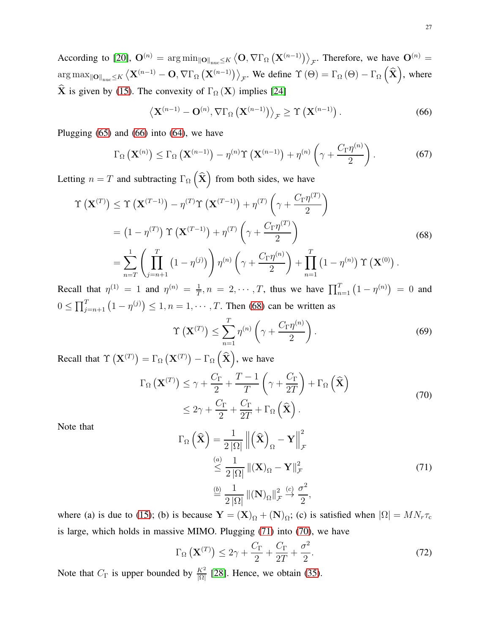According to [\[20\]](#page-29-9),  $\mathbf{O}^{(n)} = \arg \min_{\|\mathbf{O}\|_{\text{nuc}} \leq K} \left\langle \mathbf{O}, \nabla \Gamma_{\Omega} \left( \mathbf{X}^{(n-1)} \right) \right\rangle_{\mathcal{F}}$ . Therefore, we have  $\mathbf{O}^{(n)} =$  $\arg \max_{\|\mathbf{O}\|_{\text{nuc}} \leq K} \left\langle \mathbf{X}^{(n-1)} - \mathbf{O}, \nabla \Gamma_{\Omega} \left( \mathbf{X}^{(n-1)} \right) \right\rangle_{\mathcal{F}}$ . We define  $\Upsilon(\Theta) = \Gamma_{\Omega}(\Theta) - \Gamma_{\Omega} \left( \widehat{\mathbf{X}} \right)$ , where  $\hat{\mathbf{X}}$  is given by [\(15\)](#page-9-1). The convexity of  $\Gamma_{\Omega} (\mathbf{X})$  implies [\[24\]](#page-29-11)

<span id="page-26-0"></span>
$$
\left\langle \mathbf{X}^{(n-1)} - \mathbf{O}^{(n)}, \nabla \Gamma_{\Omega} \left( \mathbf{X}^{(n-1)} \right) \right\rangle_{\mathcal{F}} \geq \Upsilon \left( \mathbf{X}^{(n-1)} \right). \tag{66}
$$

Plugging  $(65)$  and  $(66)$  into  $(64)$ , we have

$$
\Gamma_{\Omega}\left(\mathbf{X}^{(n)}\right) \leq \Gamma_{\Omega}\left(\mathbf{X}^{(n-1)}\right) - \eta^{(n)}\Upsilon\left(\mathbf{X}^{(n-1)}\right) + \eta^{(n)}\left(\gamma + \frac{C_{\Gamma}\eta^{(n)}}{2}\right). \tag{67}
$$

Letting  $n = T$  and subtracting  $\Gamma_{\Omega}(\hat{\mathbf{X}})$  from both sides, we have

<span id="page-26-1"></span>
$$
\Upsilon\left(\mathbf{X}^{(T)}\right) \leq \Upsilon\left(\mathbf{X}^{(T-1)}\right) - \eta^{(T)}\Upsilon\left(\mathbf{X}^{(T-1)}\right) + \eta^{(T)}\left(\gamma + \frac{C_{\Gamma}\eta^{(T)}}{2}\right)
$$
\n
$$
= \left(1 - \eta^{(T)}\right)\Upsilon\left(\mathbf{X}^{(T-1)}\right) + \eta^{(T)}\left(\gamma + \frac{C_{\Gamma}\eta^{(T)}}{2}\right)
$$
\n
$$
= \sum_{n=T}^{1} \left(\prod_{j=n+1}^{T} \left(1 - \eta^{(j)}\right)\right)\eta^{(n)}\left(\gamma + \frac{C_{\Gamma}\eta^{(n)}}{2}\right) + \prod_{n=1}^{T} \left(1 - \eta^{(n)}\right)\Upsilon\left(\mathbf{X}^{(0)}\right).
$$
\n(68)

Recall that  $\eta^{(1)} = 1$  and  $\eta^{(n)} = \frac{1}{7}$  $\frac{1}{T}$ ,  $n = 2, \dots, T$ , thus we have  $\prod_{n=1}^{T} (1 - \eta^{(n)}) = 0$  and  $0 \le \prod_{j=n+1}^{T} (1 - \eta^{(j)}) \le 1, n = 1, \dots, T$ . Then [\(68\)](#page-26-1) can be written as

$$
\Upsilon\left(\mathbf{X}^{(T)}\right) \le \sum_{n=1}^{T} \eta^{(n)} \left(\gamma + \frac{C_{\Gamma} \eta^{(n)}}{2}\right). \tag{69}
$$

Recall that  $\Upsilon\left(\mathbf{X}^{(T)}\right) = \Gamma_{\Omega}\left(\mathbf{X}^{(T)}\right) - \Gamma_{\Omega}\left(\widehat{\mathbf{X}}\right)$ , we have

<span id="page-26-3"></span>
$$
\Gamma_{\Omega}(\mathbf{X}^{(T)}) \leq \gamma + \frac{C_{\Gamma}}{2} + \frac{T - 1}{T} \left(\gamma + \frac{C_{\Gamma}}{2T}\right) + \Gamma_{\Omega}(\widehat{\mathbf{X}})
$$
  
 
$$
\leq 2\gamma + \frac{C_{\Gamma}}{2} + \frac{C_{\Gamma}}{2T} + \Gamma_{\Omega}(\widehat{\mathbf{X}}).
$$
 (70)

Note that

<span id="page-26-2"></span>
$$
\Gamma_{\Omega}\left(\widehat{\mathbf{X}}\right) = \frac{1}{2\left|\Omega\right|} \left\| \left(\widehat{\mathbf{X}}\right)_{\Omega} - \mathbf{Y} \right\|_{\mathcal{F}}^{2}
$$
\n
$$
\stackrel{(a)}{\leq} \frac{1}{2\left|\Omega\right|} \left\| (\mathbf{X})_{\Omega} - \mathbf{Y} \right\|_{\mathcal{F}}^{2}
$$
\n
$$
\stackrel{(b)}{=} \frac{1}{2\left|\Omega\right|} \left\| (\mathbf{N})_{\Omega} \right\|_{\mathcal{F}}^{2} \stackrel{(c)}{\to} \frac{\sigma^{2}}{2},\tag{71}
$$

where (a) is due to [\(15\)](#page-9-1); (b) is because  $Y = (X)_{\Omega} + (N)_{\Omega}$ ; (c) is satisfied when  $|\Omega| = MN_r \tau_c$ is large, which holds in massive MIMO. Plugging [\(71\)](#page-26-2) into [\(70\)](#page-26-3), we have

$$
\Gamma_{\Omega}\left(\mathbf{X}^{(T)}\right) \leq 2\gamma + \frac{C_{\Gamma}}{2} + \frac{C_{\Gamma}}{2T} + \frac{\sigma^2}{2}.
$$
\n(72)

Note that  $C_{\Gamma}$  is upper bounded by  $\frac{K^2}{|\Omega|}$  [\[28\]](#page-29-15). Hence, we obtain [\(35\)](#page-15-6).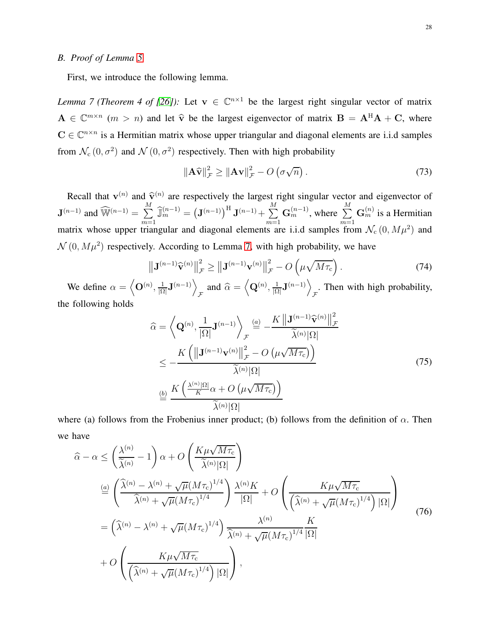# *B. Proof of Lemma [5](#page-15-3)*

First, we introduce the following lemma.

*Lemma 7 (Theorem 4 of [\[26\]](#page-29-13)):* Let  $v \in \mathbb{C}^{n \times 1}$  be the largest right singular vector of matrix  $A \in \mathbb{C}^{m \times n}$  ( $m > n$ ) and let  $\hat{v}$  be the largest eigenvector of matrix  $B = A^{H}A + C$ , where  $C \in \mathbb{C}^{n \times n}$  is a Hermitian matrix whose upper triangular and diagonal elements are i.i.d samples from  $\mathcal{N}_c(0, \sigma^2)$  and  $\mathcal{N}(0, \sigma^2)$  respectively. Then with high probability

<span id="page-27-0"></span>
$$
\left\|\mathbf{A}\widehat{\mathbf{v}}\right\|_{\mathcal{F}}^2 \ge \left\|\mathbf{A}\mathbf{v}\right\|_{\mathcal{F}}^2 - O\left(\sigma\sqrt{n}\right). \tag{73}
$$

Recall that  $\mathbf{v}^{(n)}$  and  $\hat{\mathbf{v}}^{(n)}$  are respectively the largest right singular vector and eigenvector of  $\mathbf{J}^{(n-1)}$  and  $\widehat{\mathbb{W}}^{(n-1)} = \sum_{n=1}^{M}$  $\sum\limits_{m=1}^{M}\widehat{\mathbb{J}}_{m}^{(n-1)}=\left(\mathbf{J}^{(n-1)}\right)^{\textrm{H}}\mathbf{J}^{(n-1)}+\sum\limits_{m=1}^{M}$  $m=1$  $\mathbf{G}_{m}^{(n-1)}$ , where  $\sum_{m=1}^{M}$  $m=1$  $\mathbf{G}_m^{(n)}$  is a Hermitian matrix whose upper triangular and diagonal elements are i.i.d samples from  $\mathcal{N}_c(0, M\mu^2)$  and  $\mathcal{N}(0, M\mu^2)$  respectively. According to Lemma [7,](#page-27-0) with high probability, we have

$$
\left\| \mathbf{J}^{(n-1)} \widehat{\mathbf{v}}^{(n)} \right\|_{\mathcal{F}}^2 \ge \left\| \mathbf{J}^{(n-1)} \mathbf{v}^{(n)} \right\|_{\mathcal{F}}^2 - O\left(\mu \sqrt{M \tau_c}\right). \tag{74}
$$

We define  $\alpha = \langle \mathbf{O}^{(n)}, \frac{1}{10} \rangle$  $\frac{1}{|\Omega|}$ **J** $\binom{n-1}{\Omega}$  $\int_{\mathcal{F}}$  and  $\widehat{\alpha} = \left\langle \mathbf{Q}^{(n)}, \frac{1}{|\Omega|} \right\rangle$  $\frac{1}{|\Omega|}$ **J** $\binom{n-1}{\sqrt{n}}$ . Then with high probability, the following holds

$$
\widehat{\alpha} = \left\langle \mathbf{Q}^{(n)}, \frac{1}{|\Omega|} \mathbf{J}^{(n-1)} \right\rangle_{\mathcal{F}} \stackrel{(a)}{=} -\frac{K \left\| \mathbf{J}^{(n-1)} \widehat{\mathbf{v}}^{(n)} \right\|_{\mathcal{F}}^2}{\widetilde{\lambda}^{(n)} |\Omega|}
$$
\n
$$
\leq -\frac{K \left( \left\| \mathbf{J}^{(n-1)} \mathbf{v}^{(n)} \right\|_{\mathcal{F}}^2 - O \left( \mu \sqrt{M \tau_c} \right) \right)}{\widetilde{\lambda}^{(n)} |\Omega|}
$$
\n
$$
\stackrel{(b)}{=} \frac{K \left( \frac{\lambda^{(n)} |\Omega|}{K} \alpha + O \left( \mu \sqrt{M \tau_c} \right) \right)}{\widetilde{\lambda}^{(n)} |\Omega|}
$$
\n(75)

where (a) follows from the Frobenius inner product; (b) follows from the definition of  $\alpha$ . Then we have

<span id="page-27-1"></span>
$$
\hat{\alpha} - \alpha \le \left(\frac{\lambda^{(n)}}{\tilde{\lambda}^{(n)}} - 1\right) \alpha + O\left(\frac{K\mu\sqrt{M\tau_{c}}}{\tilde{\lambda}^{(n)}|\Omega|}\right)
$$
\n
$$
\stackrel{(a)}{=} \left(\frac{\hat{\lambda}^{(n)} - \lambda^{(n)} + \sqrt{\mu}(M\tau_{c})^{1/4}}{\hat{\lambda}^{(n)} + \sqrt{\mu}(M\tau_{c})^{1/4}}\right) \frac{\lambda^{(n)}K}{|\Omega|} + O\left(\frac{K\mu\sqrt{M\tau_{c}}}{\left(\hat{\lambda}^{(n)} + \sqrt{\mu}(M\tau_{c})^{1/4}\right)|\Omega|}\right)
$$
\n
$$
= \left(\hat{\lambda}^{(n)} - \lambda^{(n)} + \sqrt{\mu}(M\tau_{c})^{1/4}\right) \frac{\lambda^{(n)}}{\hat{\lambda}^{(n)} + \sqrt{\mu}(M\tau_{c})^{1/4}} \frac{K}{|\Omega|}
$$
\n
$$
+ O\left(\frac{K\mu\sqrt{M\tau_{c}}}{\left(\hat{\lambda}^{(n)} + \sqrt{\mu}(M\tau_{c})^{1/4}\right)|\Omega|}\right),
$$
\n(76)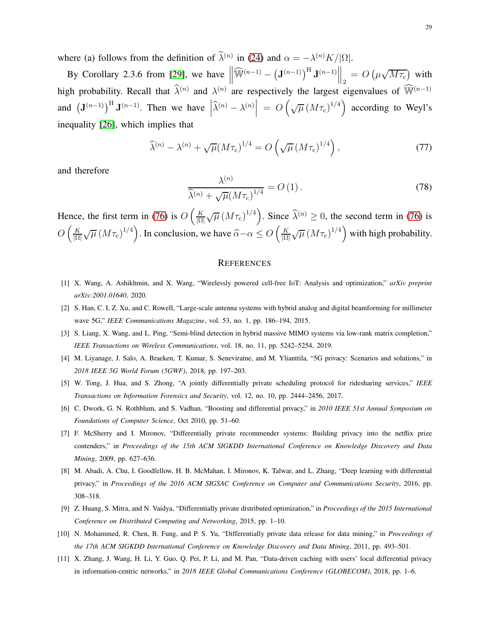where (a) follows from the definition of  $\lambda^{(n)}$  in [\(24\)](#page-11-1) and  $\alpha = -\lambda^{(n)}K/|\Omega|$ .

By Corollary 2.3.6 from [\[29\]](#page-29-16), we have  $\left\|\widehat{\mathbb{W}}^{(n-1)} - \left(\mathbf{J}^{(n-1)}\right)^{\mathrm{H}} \mathbf{J}^{(n-1)}\right\|_2 = O\left(\mu \sqrt{M\tau_c}\right)$  with high probability. Recall that  $\hat{\lambda}^{(n)}$  and  $\lambda^{(n)}$  are respectively the largest eigenvalues of  $\hat{\mathbb{W}}^{(n-1)}$ and  $(\mathbf{J}^{(n-1)})^{\mathrm{H}} \mathbf{J}^{(n-1)}$ . Then we have  $\left| \widehat{\lambda}^{(n)} - \lambda^{(n)} \right| = O\left(\sqrt{\mu} \left(M\tau_c\right)^{1/4}\right)$  according to Weyl's inequality [\[26\]](#page-29-13), which implies that

$$
\widehat{\lambda}^{(n)} - \lambda^{(n)} + \sqrt{\mu} (M\tau_{\rm c})^{1/4} = O\left(\sqrt{\mu} \left(M\tau_{\rm c}\right)^{1/4}\right),\tag{77}
$$

and therefore

$$
\frac{\lambda^{(n)}}{\widehat{\lambda}^{(n)} + \sqrt{\mu} (M \tau_{\rm c})^{1/4}} = O\left(1\right). \tag{78}
$$

Hence, the first term in [\(76\)](#page-27-1) is  $O\left(\frac{K}{10}\right)$  $\frac{K}{|\Omega|} \sqrt{\mu} (M \tau_c)^{1/4}$ . Since  $\hat{\lambda}^{(n)} \ge 0$ , the second term in [\(76\)](#page-27-1) is  $O\left(\frac{K}{\log n}\right)$  $\frac{K}{|\Omega|} \sqrt{\mu} (M \tau_c)^{1/4}$ . In conclusion, we have  $\widehat{\alpha} - \alpha \le O\left(\frac{K}{|\Omega|}\right)$  $\frac{K}{|\Omega|} \sqrt{\mu} \left(M \tau_c\right)^{1/4}$  with high probability.

## **REFERENCES**

- <span id="page-28-1"></span><span id="page-28-0"></span>[1] X. Wang, A. Ashikhmin, and X. Wang, "Wirelessly powered cell-free IoT: Analysis and optimization," *arXiv preprint arXiv:2001.01640*, 2020.
- <span id="page-28-2"></span>[2] S. Han, C. I, Z. Xu, and C. Rowell, "Large-scale antenna systems with hybrid analog and digital beamforming for millimeter wave 5G," *IEEE Communications Magazine*, vol. 53, no. 1, pp. 186–194, 2015.
- <span id="page-28-3"></span>[3] S. Liang, X. Wang, and L. Ping, "Semi-blind detection in hybrid massive MIMO systems via low-rank matrix completion," *IEEE Transactions on Wireless Communications*, vol. 18, no. 11, pp. 5242–5254, 2019.
- <span id="page-28-4"></span>[4] M. Liyanage, J. Salo, A. Braeken, T. Kumar, S. Seneviratne, and M. Ylianttila, "5G privacy: Scenarios and solutions," in *2018 IEEE 5G World Forum (5GWF)*, 2018, pp. 197–203.
- <span id="page-28-5"></span>[5] W. Tong, J. Hua, and S. Zhong, "A jointly differentially private scheduling protocol for ridesharing services," *IEEE Transactions on Information Forensics and Security*, vol. 12, no. 10, pp. 2444–2456, 2017.
- <span id="page-28-6"></span>[6] C. Dwork, G. N. Rothblum, and S. Vadhan, "Boosting and differential privacy," in *2010 IEEE 51st Annual Symposium on Foundations of Computer Science*, Oct 2010, pp. 51–60.
- [7] F. McSherry and I. Mironov, "Differentially private recommender systems: Building privacy into the netflix prize contenders," in *Proceedings of the 15th ACM SIGKDD International Conference on Knowledge Discovery and Data Mining*, 2009, pp. 627–636.
- <span id="page-28-7"></span>[8] M. Abadi, A. Chu, I. Goodfellow, H. B. McMahan, I. Mironov, K. Talwar, and L. Zhang, "Deep learning with differential privacy," in *Proceedings of the 2016 ACM SIGSAC Conference on Computer and Communications Security*, 2016, pp. 308–318.
- <span id="page-28-9"></span><span id="page-28-8"></span>[9] Z. Huang, S. Mitra, and N. Vaidya, "Differentially private distributed optimization," in *Proceedings of the 2015 International Conference on Distributed Computing and Networking*, 2015, pp. 1–10.
- <span id="page-28-10"></span>[10] N. Mohammed, R. Chen, B. Fung, and P. S. Yu, "Differentially private data release for data mining," in *Proceedings of the 17th ACM SIGKDD International Conference on Knowledge Discovery and Data Mining*, 2011, pp. 493–501.
- [11] X. Zhang, J. Wang, H. Li, Y. Guo, Q. Pei, P. Li, and M. Pan, "Data-driven caching with users' local differential privacy in information-centric networks," in *2018 IEEE Global Communications Conference (GLOBECOM)*, 2018, pp. 1–6.